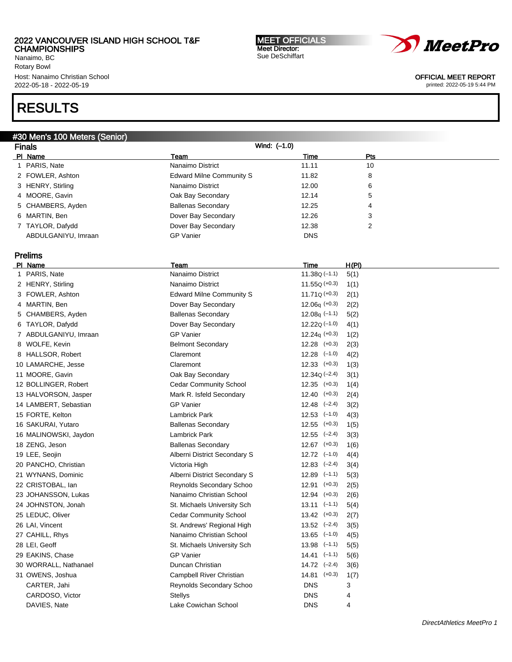Nanaimo, BC Rotary Bowl Host: Nanaimo Christian School 2022-05-18 - 2022-05-19

# RESULTS

## #30 Men's 100 Meters (Senior)

Finals Wind: (–1.0) PI Name Policy Pressure Pressure Pressure Pressure Pressure Pressure Pressure Pressure Pressure Pressure Press 1 PARIS, Nate 11.11 10 000 1000 1000 1000 Nanaimo District 11.11 10 10 2 FOWLER, Ashton **Edward Milne Community S** 11.82 8 3 HENRY, Stirling 12.00 6 Nanaimo District 12.00 6 4 MOORE, Gavin **Canadia Communist Communist Communist Communist Communist Communist Communist Communist Communist Communist Communist Communist Communist Communist Communist Communist Communist Communist Communist Communis** 5 CHAMBERS, Ayden **Ballenas Secondary** 12.25 4 6 MARTIN, Ben **Dover Bay Secondary** 12.26 3 7 TAYLOR, Dafydd Dover Bay Secondary 12.38 2 ABDULGANIYU, Imraan GP Vanier GP Vanier DNS Prelims PI Name **The H(PI) H(PI) H(PI) H(PI) H(PI) Team Team Team Time H(PI)** 1 PARIS, Nate 11.38Q (–1.1) 5(1) Nanaimo District 11.38Q (–1.1) 5(1) 2 HENRY, Stirling 2 11.55Q (+0.3) 1(1) 3 FOWLER, Ashton Edward Milne Community S 11.71Q (+0.3) 2(1) 4 MARTIN, Ben **Dover Bay Secondary** 12.06q (+0.3) 2(2) 5 CHAMBERS, Ayden **Ballenas Secondary** 12.08q (-1.1) 5(2) 6 TAYLOR, Dafydd Dover Bay Secondary 12.22Q (–1.0) 4(1) 7 ABDULGANIYU, Imraan GP Vanier 12.24q (+0.3) 1(2) 8 WOLFE, Kevin **Belmont Secondary** 12.28 (+0.3) 2(3) 8 HALLSOR, Robert Claremont 12.28 (–1.0) 4(2) 10 LAMARCHE, Jesse Claremont 12.33 (+0.3) 1(3) 11 MOORE, Gavin Oak Bay Secondary 12.34Q (–2.4) 3(1) 12 BOLLINGER, Robert Cedar Community School 12.35 (+0.3) 1(4) 13 HALVORSON, Jasper Mark R. Isfeld Secondary 12.40 (+0.3) 2(4) 14 LAMBERT, Sebastian GP Vanier 12.48 (–2.4) 3(2) 15 FORTE, Kelton **Lambrick Park 12.53** (–1.0) 4(3) 16 SAKURAI, Yutaro Ballenas Secondary 12.55 (+0.3) 1(5) 16 MALINOWSKI, Jaydon **Lambrick Park 12.55 (-2.4)** 3(3) 18 ZENG, Jeson Ballenas Secondary 12.67 (+0.3) 1(6) 19 LEE, Seojin Alberni District Secondary S 12.72 (–1.0) 4(4) 20 PANCHO, Christian Victoria High 12.83 (–2.4) 3(4) 21 WYNANS, Dominic **Alberni District Secondary S** 12.89 (-1.1) 5(3)

22 CRISTOBAL, Ian **Reynolds Secondary Schoo** 12.91 (+0.3) 2(5)

30 WORRALL, Nathanael Duncan Christian 14.72 (–2.4) 3(6) 31 OWENS, Joshua Campbell River Christian 14.81 (+0.3) 1(7)

CARTER, Jahi **Reynolds Secondary Schoo** DNS 3 CARDOSO, Victor **CARDOSO, Victor** CARDOSO, Victor **CARDOSO, Victor** CARDOSO, CARDOSO, CARDOSO, CARDOSO, CARDOSO, CARDOSO, CARDOSO, CARDOSO, CARDOSO, CARDOSO, CARDOSO, CARDOSO, CARDOSO, CARDOSO, CARDOSO, CARDOSO, CARDOSO, C DAVIES, Nate Lake Cowichan School DNS 4

MEET OFFICIALS Meet Director: Sue DeSchiffart



## OFFICIAL MEET REPORT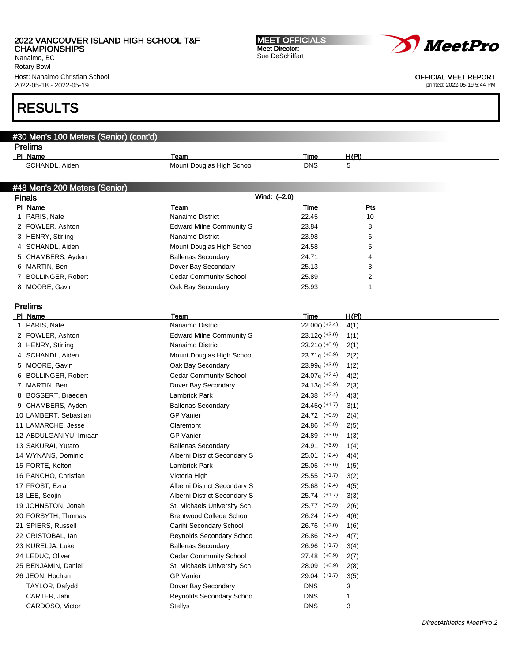Nanaimo, BC Rotary Bowl Host: Nanaimo Christian School 2022-05-18 - 2022-05-19

# RESULTS

| #30 Men's 100 Meters (Senior) (cont'd) |                                   |                    |              |  |
|----------------------------------------|-----------------------------------|--------------------|--------------|--|
| <b>Prelims</b>                         |                                   |                    |              |  |
| PI Name                                | Team<br>Mount Douglas High School | Time<br><b>DNS</b> | H(PI)<br>5   |  |
| SCHANDL, Aiden                         |                                   |                    |              |  |
|                                        |                                   |                    |              |  |
| #48 Men's 200 Meters (Senior)          |                                   |                    |              |  |
| <b>Finals</b>                          | Wind: (-2.0)                      |                    |              |  |
| PI Name                                | Team<br>Nanaimo District          | Time               | Pts          |  |
| 1 PARIS, Nate                          |                                   | 22.45              | 10           |  |
| 2 FOWLER, Ashton                       | <b>Edward Milne Community S</b>   | 23.84              | 8            |  |
| 3 HENRY, Stirling                      | Nanaimo District                  | 23.98              | 6            |  |
| 4 SCHANDL, Aiden                       | Mount Douglas High School         | 24.58              | 5            |  |
| 5 CHAMBERS, Ayden                      | <b>Ballenas Secondary</b>         | 24.71              | 4            |  |
| 6 MARTIN, Ben                          | Dover Bay Secondary               | 25.13              | 3            |  |
| 7 BOLLINGER, Robert                    | <b>Cedar Community School</b>     | 25.89              | 2            |  |
| 8 MOORE, Gavin                         | Oak Bay Secondary                 | 25.93              | 1            |  |
| <b>Prelims</b>                         |                                   |                    |              |  |
| PI Name                                | Team                              | Time               | <u>H(PI)</u> |  |
| 1 PARIS, Nate                          | Nanaimo District                  | $22.00Q (+2.4)$    | 4(1)         |  |
| 2 FOWLER, Ashton                       | <b>Edward Milne Community S</b>   | $23.12Q (+3.0)$    | 1(1)         |  |
| 3 HENRY, Stirling                      | Nanaimo District                  | $23.21Q (+0.9)$    | 2(1)         |  |
| 4 SCHANDL, Aiden                       | Mount Douglas High School         | $23.71q (+0.9)$    | 2(2)         |  |
| 5 MOORE, Gavin                         | Oak Bay Secondary                 | $23.99q$ (+3.0)    | 1(2)         |  |
| 6 BOLLINGER, Robert                    | <b>Cedar Community School</b>     | $24.07q$ (+2.4)    | 4(2)         |  |
| 7 MARTIN, Ben                          | Dover Bay Secondary               | $24.13q (+0.9)$    | 2(3)         |  |
| 8 BOSSERT, Braeden                     | Lambrick Park                     | $24.38$ $(+2.4)$   | 4(3)         |  |
| 9 CHAMBERS, Ayden                      | <b>Ballenas Secondary</b>         | $24.45Q (+1.7)$    | 3(1)         |  |
| 10 LAMBERT, Sebastian                  | <b>GP Vanier</b>                  | 24.72 (+0.9)       | 2(4)         |  |
| 11 LAMARCHE, Jesse                     | Claremont                         | $24.86$ $(+0.9)$   | 2(5)         |  |
| 12 ABDULGANIYU, Imraan                 | <b>GP Vanier</b>                  | $24.89$ $(+3.0)$   | 1(3)         |  |
| 13 SAKURAI, Yutaro                     | <b>Ballenas Secondary</b>         | $24.91$ $(+3.0)$   | 1(4)         |  |
| 14 WYNANS, Dominic                     | Alberni District Secondary S      | $25.01$ $(+2.4)$   | 4(4)         |  |
| 15 FORTE, Kelton                       | Lambrick Park                     | $25.05$ $(+3.0)$   | 1(5)         |  |
| 16 PANCHO, Christian                   | Victoria High                     | $25.55$ $(+1.7)$   | 3(2)         |  |
| 17 FROST, Ezra                         | Alberni District Secondary S      | $25.68$ $(+2.4)$   | 4(5)         |  |
| 18 LEE, Seojin                         | Alberni District Secondary S      | $25.74$ $(+1.7)$   | 3(3)         |  |
| 19 JOHNSTON, Jonah                     | St. Michaels University Sch       | 25.77 (+0.9)       | 2(6)         |  |
| 20 FORSYTH, Thomas                     | <b>Brentwood College School</b>   | $26.24$ (+2.4)     | 4(6)         |  |
| 21 SPIERS, Russell                     | Carihi Secondary School           | $26.76$ $(+3.0)$   | 1(6)         |  |
| 22 CRISTOBAL, lan                      | Reynolds Secondary Schoo          | $26.86$ $(+2.4)$   | 4(7)         |  |
| 23 KURELJA, Luke                       | <b>Ballenas Secondary</b>         | $26.96$ $(+1.7)$   | 3(4)         |  |
| 24 LEDUC, Oliver                       | <b>Cedar Community School</b>     | 27.48 (+0.9)       | 2(7)         |  |
| 25 BENJAMIN, Daniel                    | St. Michaels University Sch       | 28.09 (+0.9)       | 2(8)         |  |
| 26 JEON, Hochan                        | <b>GP Vanier</b>                  | 29.04 (+1.7)       | 3(5)         |  |
| TAYLOR, Dafydd                         | Dover Bay Secondary               | <b>DNS</b>         | 3            |  |
| CARTER, Jahi                           | Reynolds Secondary Schoo          | <b>DNS</b>         | 1            |  |
| CARDOSO, Victor                        | <b>Stellys</b>                    | DNS                | 3            |  |
|                                        |                                   |                    |              |  |

MEET OFFICIALS Meet Director: Sue DeSchiffart



OFFICIAL MEET REPORT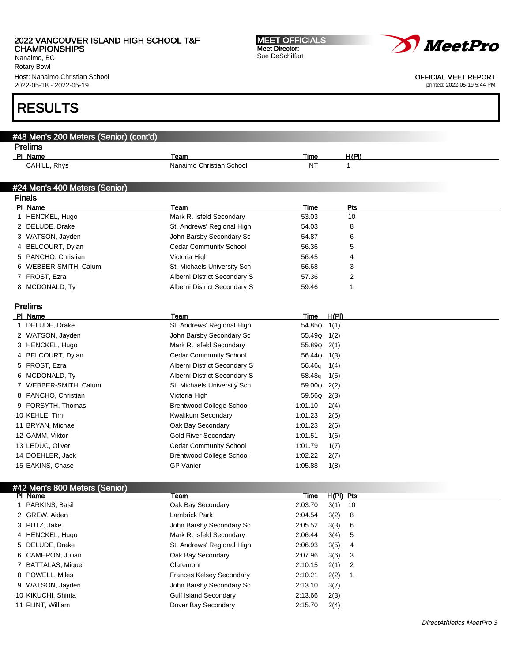Nanaimo, BC Rotary Bowl Host: Nanaimo Christian School 2022-05-18 - 2022-05-19

# RESULTS

| #48 Men's 200 Meters (Senior) (cont'd) |                                 |             |              |
|----------------------------------------|---------------------------------|-------------|--------------|
| <b>Prelims</b>                         |                                 |             |              |
| PI Name                                | Team                            | <b>Time</b> | H(PI)        |
| CAHILL, Rhys                           | Nanaimo Christian School        | NT          | $\mathbf{1}$ |
|                                        |                                 |             |              |
| #24 Men's 400 Meters (Senior)          |                                 |             |              |
| <b>Finals</b>                          |                                 |             |              |
| PI Name                                | Team                            | Time        | Pts          |
| 1 HENCKEL, Hugo                        | Mark R. Isfeld Secondary        | 53.03       | 10           |
| 2 DELUDE, Drake                        | St. Andrews' Regional High      | 54.03       | 8            |
| 3 WATSON, Jayden                       | John Barsby Secondary Sc        | 54.87       | 6            |
| 4 BELCOURT, Dylan                      | <b>Cedar Community School</b>   | 56.36       | 5            |
| 5 PANCHO, Christian                    | Victoria High                   | 56.45       | 4            |
| 6 WEBBER-SMITH, Calum                  | St. Michaels University Sch     | 56.68       | 3            |
| 7 FROST, Ezra                          | Alberni District Secondary S    | 57.36       | 2            |
| 8 MCDONALD, Ty                         | Alberni District Secondary S    | 59.46       | 1            |
|                                        |                                 |             |              |
| <b>Prelims</b>                         |                                 |             |              |
| PI Name                                | Team                            | Time        | H(PI)        |
| 1 DELUDE, Drake                        | St. Andrews' Regional High      | 54.85Q 1(1) |              |
| 2 WATSON, Jayden                       | John Barsby Secondary Sc        | 55.49Q 1(2) |              |
| 3 HENCKEL, Hugo                        | Mark R. Isfeld Secondary        | 55.89Q      | 2(1)         |
| 4 BELCOURT, Dylan                      | <b>Cedar Community School</b>   | 56.44Q      | 1(3)         |
| 5 FROST, Ezra                          | Alberni District Secondary S    | 56.46g      | 1(4)         |
| 6 MCDONALD, Ty                         | Alberni District Secondary S    | 58.48q      | 1(5)         |
| 7 WEBBER-SMITH, Calum                  | St. Michaels University Sch     | 59.00Q      | 2(2)         |
| 8 PANCHO, Christian                    | Victoria High                   | 59.56Q      | 2(3)         |
| 9 FORSYTH, Thomas                      | <b>Brentwood College School</b> | 1:01.10     | 2(4)         |
| 10 KEHLE, Tim                          | Kwalikum Secondary              | 1:01.23     | 2(5)         |
| 11 BRYAN, Michael                      | Oak Bay Secondary               | 1:01.23     | 2(6)         |
| 12 GAMM, Viktor                        | <b>Gold River Secondary</b>     | 1:01.51     | 1(6)         |
| 13 LEDUC, Oliver                       | <b>Cedar Community School</b>   | 1:01.79     | 1(7)         |
| 14 DOEHLER, Jack                       | <b>Brentwood College School</b> | 1:02.22     | 2(7)         |
| 15 EAKINS, Chase                       | <b>GP Vanier</b>                | 1:05.88     | 1(8)         |
|                                        |                                 |             |              |
| #42 Men's 800 Meters (Senior)          |                                 |             |              |
| PI Name                                | Team                            | Time        | $H(PI)$ Pts  |
| 1 PARKINS, Basil                       | Oak Bay Secondary               | 2:03.70     | 3(1)<br>10   |
| 2 GREW, Aiden                          | <b>Lambrick Park</b>            | 2:04.54     | 3(2)<br>8    |
| 3 PUTZ, Jake                           | John Barsby Secondary Sc        | 2:05.52     | 6<br>3(3)    |
| 4 HENCKEL, Hugo                        | Mark R. Isfeld Secondary        | 2:06.44     | 5<br>3(4)    |
| 5 DELUDE, Drake                        | St. Andrews' Regional High      | 2:06.93     | 3(5)<br>4    |
|                                        |                                 |             |              |

MEET OFFICIALS Meet Director: Sue DeSchiffart

 CAMERON, Julian Oak Bay Secondary 2:07.96 3(6) 3 BATTALAS, Miguel Claremont 2:10.15 2(1) 2 8 POWELL, Miles **Frances Kelsey Secondary** 2:10.21 2(2) 1 9 WATSON, Jayden **John Barsby Secondary Sc** 2:13.10 3(7) KIKUCHI, Shinta Gulf Island Secondary 2:13.66 2(3) FLINT, William Dover Bay Secondary 2:15.70 2(4)



OFFICIAL MEET REPORT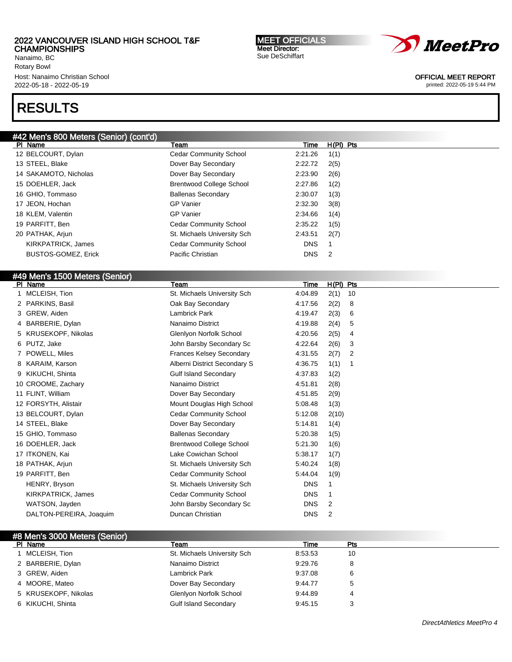Nanaimo, BC Rotary Bowl Host: Nanaimo Christian School 2022-05-18 - 2022-05-19

# RESULTS

## #42 Men's 800 Meters (Senior) (cont'd)

| PI Name                    | Team                            | Time       | $H(PI)$ Pts                |
|----------------------------|---------------------------------|------------|----------------------------|
| 12 BELCOURT, Dylan         | <b>Cedar Community School</b>   | 2:21.26    | 1(1)                       |
| 13 STEEL, Blake            | Dover Bay Secondary             | 2:22.72    | 2(5)                       |
| 14 SAKAMOTO, Nicholas      | Dover Bay Secondary             | 2:23.90    | 2(6)                       |
| 15 DOEHLER, Jack           | <b>Brentwood College School</b> | 2:27.86    | 1(2)                       |
| 16 GHIO, Tommaso           | <b>Ballenas Secondary</b>       | 2:30.07    | 1(3)                       |
| 17 JEON, Hochan            | <b>GP</b> Vanier                | 2:32.30    | 3(8)                       |
| 18 KLEM, Valentin          | GP Vanier                       | 2:34.66    | 1(4)                       |
| 19 PARFITT, Ben            | <b>Cedar Community School</b>   | 2:35.22    | 1(5)                       |
| 20 PATHAK, Arjun           | St. Michaels University Sch     | 2:43.51    | 2(7)                       |
| KIRKPATRICK, James         | <b>Cedar Community School</b>   | <b>DNS</b> |                            |
| <b>BUSTOS-GOMEZ, Erick</b> | Pacific Christian               | <b>DNS</b> | $\overline{\phantom{0}}^2$ |
|                            |                                 |            |                            |

MEET OFFICIALS Meet Director: Sue DeSchiffart

| #49 Men's 1500 Meters (Senior)<br>PI Name | Team                            | Time        | H(PI) Pts |     |
|-------------------------------------------|---------------------------------|-------------|-----------|-----|
| 1 MCLEISH, Tion                           | St. Michaels University Sch     | 4:04.89     | 2(1)      | 10  |
| 2 PARKINS, Basil                          | Oak Bay Secondary               | 4:17.56     | 2(2)      | 8   |
| 3 GREW, Aiden                             | Lambrick Park                   | 4:19.47     | 2(3)      | 6   |
| BARBERIE, Dylan<br>4                      | Nanaimo District                | 4:19.88     | 2(4)      | 5   |
| KRUSEKOPF, Nikolas                        | Glenlyon Norfolk School         | 4:20.56     | 2(5)      | 4   |
| 6 PUTZ, Jake                              | John Barsby Secondary Sc        | 4:22.64     | 2(6)      | 3   |
| POWELL, Miles                             | <b>Frances Kelsey Secondary</b> | 4:31.55     | 2(7)      | 2   |
| KARAIM, Karson                            | Alberni District Secondary S    | 4:36.75     | 1(1)      | -1  |
| 9 KIKUCHI, Shinta                         | <b>Gulf Island Secondary</b>    | 4:37.83     | 1(2)      |     |
| 10 CROOME, Zachary                        | Nanaimo District                | 4.51.81     | 2(8)      |     |
| 11 FLINT, William                         | Dover Bay Secondary             | 4:51.85     | 2(9)      |     |
| 12 FORSYTH, Alistair                      | Mount Douglas High School       | 5:08.48     | 1(3)      |     |
| 13 BELCOURT, Dylan                        | <b>Cedar Community School</b>   | 5:12.08     | 2(10)     |     |
| 14 STEEL, Blake                           | Dover Bay Secondary             | 5:14.81     | 1(4)      |     |
| 15 GHIO, Tommaso                          | <b>Ballenas Secondary</b>       | 5:20.38     | 1(5)      |     |
| 16 DOEHLER, Jack                          | <b>Brentwood College School</b> | 5:21.30     | 1(6)      |     |
| 17 ITKONEN, Kai                           | Lake Cowichan School            | 5:38.17     | 1(7)      |     |
| 18 PATHAK, Arjun                          | St. Michaels University Sch     | 5:40.24     | 1(8)      |     |
| 19 PARFITT, Ben                           | <b>Cedar Community School</b>   | 5:44.04     | 1(9)      |     |
| HENRY, Bryson                             | St. Michaels University Sch     | <b>DNS</b>  | 1         |     |
| KIRKPATRICK, James                        | <b>Cedar Community School</b>   | <b>DNS</b>  | -1        |     |
| WATSON, Jayden                            | John Barsby Secondary Sc        | <b>DNS</b>  | 2         |     |
| DALTON-PEREIRA, Joaquim                   | Duncan Christian                | <b>DNS</b>  | 2         |     |
| #8 Men's 3000 Meters (Senior)             |                                 |             |           |     |
| PI Name                                   | Team                            | <b>Time</b> |           | Pts |
| 1 MCLEISH, Tion                           | St. Michaels University Sch     | 8:53.53     |           | 10  |

| MCLEISH, Tion        | St. Michaels University Sch  | 8:53.53 | 10 |
|----------------------|------------------------------|---------|----|
| 2 BARBERIE, Dylan    | Nanaimo District             | 9:29.76 |    |
| 3 GREW, Aiden        | Lambrick Park                | 9:37.08 | 6  |
| 4 MOORE, Mateo       | Dover Bay Secondary          | 9:44.77 | 5  |
| 5 KRUSEKOPF, Nikolas | Glenlyon Norfolk School      | 9:44.89 | 4  |
| 6 KIKUCHI, Shinta    | <b>Gulf Island Secondary</b> | 9:45.15 |    |



OFFICIAL MEET REPORT printed: 2022-05-19 5:44 PM

DirectAthletics MeetPro 4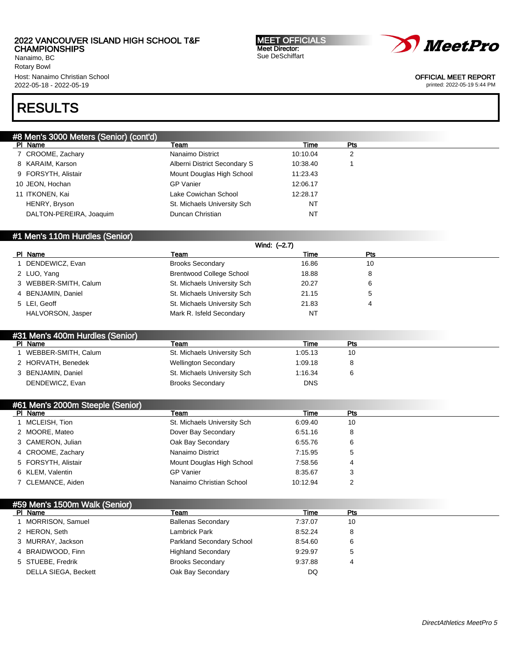Nanaimo, BC Rotary Bowl Host: Nanaimo Christian School 2022-05-18 - 2022-05-19

MEET OFFICIALS Meet Director: Sue DeSchiffart



OFFICIAL MEET REPORT

printed: 2022-05-19 5:44 PM

# RESULTS

| #8 Men's 3000 Meters (Senior) (cont'd) |                              |           |     |  |
|----------------------------------------|------------------------------|-----------|-----|--|
| PI Name                                | Team                         | Time      | Pts |  |
| 7 CROOME, Zachary                      | Nanaimo District             | 10:10.04  | 2   |  |
| 8 KARAIM, Karson                       | Alberni District Secondary S | 10:38.40  |     |  |
| 9 FORSYTH, Alistair                    | Mount Douglas High School    | 11:23.43  |     |  |
| 10 JEON, Hochan                        | <b>GP</b> Vanier             | 12:06.17  |     |  |
| 11 ITKONEN, Kai                        | Lake Cowichan School         | 12:28.17  |     |  |
| HENRY, Bryson                          | St. Michaels University Sch  | NT        |     |  |
| DALTON-PEREIRA, Joaquim                | Duncan Christian             | <b>NT</b> |     |  |
|                                        |                              |           |     |  |

## #1 Men's 110m Hurdles (Senior)

| Wind: (-2.7)          |                                 |       |     |  |  |
|-----------------------|---------------------------------|-------|-----|--|--|
| PI Name               | Team                            | Time  | Pts |  |  |
| DENDEWICZ, Evan       | <b>Brooks Secondary</b>         | 16.86 | 10  |  |  |
| 2 LUO, Yang           | <b>Brentwood College School</b> | 18.88 |     |  |  |
| 3 WEBBER-SMITH, Calum | St. Michaels University Sch     | 20.27 |     |  |  |
| 4 BENJAMIN, Daniel    | St. Michaels University Sch     | 21.15 |     |  |  |
| 5 LEI. Geoff          | St. Michaels University Sch     | 21.83 | 4   |  |  |
| HALVORSON, Jasper     | Mark R. Isfeld Secondary        | NT    |     |  |  |

| #31 Men's 400m Hurdles (Senior)                                     |
|---------------------------------------------------------------------|
| PI Name<br>Time<br>Pts<br>Team                                      |
| WEBBER-SMITH, Calum<br>St. Michaels University Sch<br>1:05.13<br>10 |
| 2 HORVATH, Benedek<br><b>Wellington Secondary</b><br>1:09.18        |
| St. Michaels University Sch<br>3 BENJAMIN, Daniel<br>1:16.34        |
| <b>DNS</b><br>DENDEWICZ, Evan<br><b>Brooks Secondary</b>            |

## #61 Men's 2000m Steeple (Senior)<br>| Pl\_Name Pl Name Team Time Pts 1 MCLEISH, Tion **St. Michaels University Sch** 6:09.40 10 2 MOORE, Mateo **Dover Bay Secondary** 6:51.16 8 3 CAMERON, Julian **CAMERON, Inc.** Cak Bay Secondary **6:55.76** 6 4 CROOME, Zachary **Nanaimo District 7:15.95** 5 5 FORSYTH, Alistair **Mount Douglas High School** 7:58.56 4 6 KLEM, Valentin and CD Vanier Control of CP Vanier and CP Vanier and Manual Assembly 0.35.67 and 3 7 CLEMANCE, Aiden **Nanaimo Christian School** 10:12.94 2

## #59 Men's 1500m Walk (Senior)

| PI Name              | Team                      | Time    | <b>Pts</b> |
|----------------------|---------------------------|---------|------------|
| MORRISON, Samuel     | <b>Ballenas Secondary</b> | 7:37.07 | 10         |
| 2 HERON, Seth        | Lambrick Park             | 8:52.24 | 8          |
| 3 MURRAY, Jackson    | Parkland Secondary School | 8:54.60 | 6          |
| 4 BRAIDWOOD, Finn    | <b>Highland Secondary</b> | 9:29.97 | 5          |
| 5 STUEBE, Fredrik    | <b>Brooks Secondary</b>   | 9:37.88 | 4          |
| DELLA SIEGA, Beckett | Oak Bay Secondary         | DQ      |            |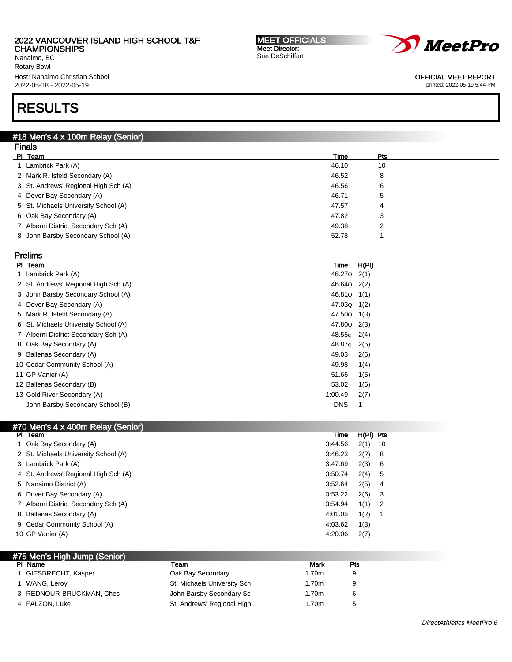# 2022 VANCOUVER ISLAND HIGH SCHOOL T&F

CHAMPIONSHIPS Nanaimo, BC Rotary Bowl Host: Nanaimo Christian School 2022-05-18 - 2022-05-19

# RESULTS

#### #18 Men's 4 x 100m Relay (Senior) Finals

| гнар                                 |             |        |  |  |  |  |
|--------------------------------------|-------------|--------|--|--|--|--|
| PI Team                              | <b>Time</b> | Pts    |  |  |  |  |
| Lambrick Park (A)                    | 46.10       | 10     |  |  |  |  |
| 2 Mark R. Isfeld Secondary (A)       | 46.52       | 8      |  |  |  |  |
| 3 St. Andrews' Regional High Sch (A) | 46.56       | 6      |  |  |  |  |
| 4 Dover Bay Secondary (A)            | 46.71       | 5      |  |  |  |  |
| 5 St. Michaels University School (A) | 47.57       | 4      |  |  |  |  |
| 6 Oak Bay Secondary (A)              | 47.82       | 3      |  |  |  |  |
| 7 Alberni District Secondary Sch (A) | 49.38       | っ<br>∠ |  |  |  |  |
| 8 John Barsby Secondary School (A)   | 52.78       |        |  |  |  |  |
|                                      |             |        |  |  |  |  |

MEET OFFICIALS Meet Director: Sue DeSchiffart

# Prelims

| PI Team                              | Time                    | <u>H(PI)</u> |
|--------------------------------------|-------------------------|--------------|
| 1 Lambrick Park (A)                  | 46.27Q 2(1)             |              |
| 2 St. Andrews' Regional High Sch (A) | 46.64Q 2(2)             |              |
| 3 John Barsby Secondary School (A)   | 46.81Q 1(1)             |              |
| 4 Dover Bay Secondary (A)            | 47.03Q 1(2)             |              |
| 5 Mark R. Isfeld Secondary (A)       | 47.50Q                  | 1(3)         |
| 6 St. Michaels University School (A) | 47.80 <sub>Q</sub> 2(3) |              |
| 7 Alberni District Secondary Sch (A) | 48.55 <sub>g</sub>      | 2(4)         |
| 8 Oak Bay Secondary (A)              | 48.87q                  | 2(5)         |
| 9 Ballenas Secondary (A)             | 49.03                   | 2(6)         |
| 10 Cedar Community School (A)        | 49.98                   | 1(4)         |
| 11 GP Vanier (A)                     | 51.66                   | 1(5)         |
| 12 Ballenas Secondary (B)            | 53.02                   | 1(6)         |
| 13 Gold River Secondary (A)          | 1:00.49                 | 2(7)         |
| John Barsby Secondary School (B)     | <b>DNS</b>              |              |

## #70 Men's 4 x 400m Relay (Senior)

| PI Team                              | Time    | $H(PI)$ Pts |     |
|--------------------------------------|---------|-------------|-----|
| 1 Oak Bay Secondary (A)              | 3:44.56 | 2(1)        | -10 |
| 2 St. Michaels University School (A) | 3:46.23 | 2(2)        | -8  |
| 3 Lambrick Park (A)                  | 3:47.69 | 2(3)        | -6  |
| 4 St. Andrews' Regional High Sch (A) | 3:50.74 | 2(4)        | -5  |
| 5 Nanaimo District (A)               | 3:52.64 | 2(5)        | 4   |
| 6 Dover Bay Secondary (A)            | 3:53.22 | 2(6)        | 3   |
| 7 Alberni District Secondary Sch (A) | 3:54.94 | 1(1)        | 2   |
| 8 Ballenas Secondary (A)             | 4:01.05 | 1(2)        |     |
| 9 Cedar Community School (A)         | 4:03.62 | 1(3)        |     |
| 10 GP Vanier (A)                     | 4:20.06 | 2(7)        |     |

| #75 Men's High Jump (Senior) |                             |       |     |  |
|------------------------------|-----------------------------|-------|-----|--|
| PI Name                      | Team                        | Mark  | Pts |  |
| GIESBRECHT, Kasper           | Oak Bay Secondary           | 1.70m |     |  |
| WANG, Lerov                  | St. Michaels University Sch | 1.70m |     |  |
| 3 REDNOUR-BRUCKMAN, Ches     | John Barsby Secondary Sc    | 1.70m |     |  |
| 4 FALZON, Luke               | St. Andrews' Regional High  | 1.70m |     |  |



OFFICIAL MEET REPORT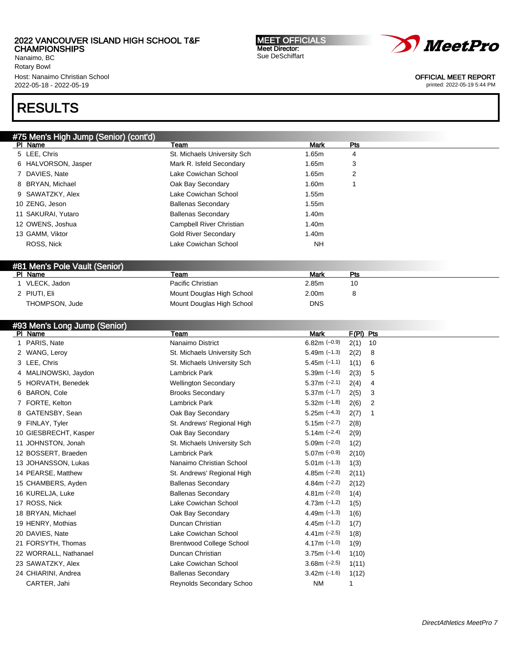Nanaimo, BC Rotary Bowl Host: Nanaimo Christian School 2022-05-18 - 2022-05-19

# RESULTS

| #75 Men's High Jump (Senior) (cont'd) |                             |            |     |  |
|---------------------------------------|-----------------------------|------------|-----|--|
| PI Name                               | Team                        | Mark       | Pts |  |
| 5 LEE, Chris                          | St. Michaels University Sch | 1.65m      | 4   |  |
| 6 HALVORSON, Jasper                   | Mark R. Isfeld Secondary    | 1.65m      | 3   |  |
| 7 DAVIES, Nate                        | Lake Cowichan School        | 1.65m      | 2   |  |
| 8 BRYAN, Michael                      | Oak Bay Secondary           | 1.60m      |     |  |
| 9 SAWATZKY, Alex                      | Lake Cowichan School        | 1.55m      |     |  |
| 10 ZENG, Jeson                        | <b>Ballenas Secondary</b>   | 1.55m      |     |  |
| 11 SAKURAI, Yutaro                    | <b>Ballenas Secondary</b>   | 1.40m      |     |  |
| 12 OWENS, Joshua                      | Campbell River Christian    | 1.40m      |     |  |
| 13 GAMM, Viktor                       | <b>Gold River Secondary</b> | 1.40m      |     |  |
| ROSS, Nick                            | Lake Cowichan School        | NH         |     |  |
|                                       |                             |            |     |  |
| #81 Men's Pole Vault (Senior)         |                             |            |     |  |
| PI Name                               | Team                        | Mark       | Pts |  |
| 1 VLECK, Jadon                        | Pacific Christian           | 2.85m      | 10  |  |
| 2 PIUTI, Eli                          | Mount Douglas High School   | 2.00m      | 8   |  |
| THOMPSON, Jude                        | Mount Douglas High School   | <b>DNS</b> |     |  |

## #93 Men's Long Jump (Senior)

| PI Name                  | Team                            | Mark             | F(PI) Pts  |
|--------------------------|---------------------------------|------------------|------------|
| 1 PARIS, Nate            | Nanaimo District                | $6.82m$ (-0.9)   | 2(1)<br>10 |
| 2 WANG, Leroy            | St. Michaels University Sch     | $5.49m$ (-1.3)   | 2(2)<br>8  |
| 3 LEE, Chris             | St. Michaels University Sch     | $5.45m$ (-1.1)   | 1(1)<br>6  |
| 4 MALINOWSKI, Jaydon     | <b>Lambrick Park</b>            | $5.39m$ (-1.6)   | 2(3)<br>5  |
| 5 HORVATH, Benedek       | <b>Wellington Secondary</b>     | $5.37m (-2.1)$   | 2(4)<br>4  |
| <b>BARON, Cole</b><br>6. | <b>Brooks Secondary</b>         | $5.37m$ $(-1.7)$ | 2(5)<br>3  |
| 7 FORTE, Kelton          | <b>Lambrick Park</b>            | $5.32m$ (-1.8)   | 2(6)<br>2  |
| GATENSBY, Sean           | Oak Bay Secondary               | $5.25m (-4.3)$   | 2(7)<br>1  |
| 9 FINLAY, Tyler          | St. Andrews' Regional High      | $5.15m (-2.7)$   | 2(8)       |
| 10 GIESBRECHT, Kasper    | Oak Bay Secondary               | $5.14m$ (-2.4)   | 2(9)       |
| 11 JOHNSTON, Jonah       | St. Michaels University Sch     | $5.09m$ $(-2.0)$ | 1(2)       |
| 12 BOSSERT, Braeden      | <b>Lambrick Park</b>            | $5.07m$ (-0.9)   | 2(10)      |
| 13 JOHANSSON, Lukas      | Nanaimo Christian School        | $5.01m$ (-1.3)   | 1(3)       |
| 14 PEARSE, Matthew       | St. Andrews' Regional High      | 4.85m $(-2.8)$   | 2(11)      |
| 15 CHAMBERS, Ayden       | <b>Ballenas Secondary</b>       | 4.84m $(-2.2)$   | 2(12)      |
| 16 KURELJA, Luke         | <b>Ballenas Secondary</b>       | $4.81m$ (-2.0)   | 1(4)       |
| 17 ROSS, Nick            | Lake Cowichan School            | 4.73m $(-1.2)$   | 1(5)       |
| 18 BRYAN, Michael        | Oak Bay Secondary               | 4.49m $(-1.3)$   | 1(6)       |
| 19 HENRY, Mothias        | Duncan Christian                | 4.45m $(-1.2)$   | 1(7)       |
| 20 DAVIES, Nate          | Lake Cowichan School            | 4.41m $(-2.5)$   | 1(8)       |
| 21 FORSYTH, Thomas       | <b>Brentwood College School</b> | 4.17m $(-1.0)$   | 1(9)       |
| 22 WORRALL, Nathanael    | Duncan Christian                | $3.75m$ (-1.4)   | 1(10)      |
| 23 SAWATZKY, Alex        | Lake Cowichan School            | $3.68m (-2.5)$   | 1(11)      |
| 24 CHIARINI, Andrea      | <b>Ballenas Secondary</b>       | $3.42m$ (-1.6)   | 1(12)      |
| CARTER, Jahi             | <b>Reynolds Secondary Schoo</b> | <b>NM</b>        |            |

MEET OFFICIALS Meet Director: Sue DeSchiffart



OFFICIAL MEET REPORT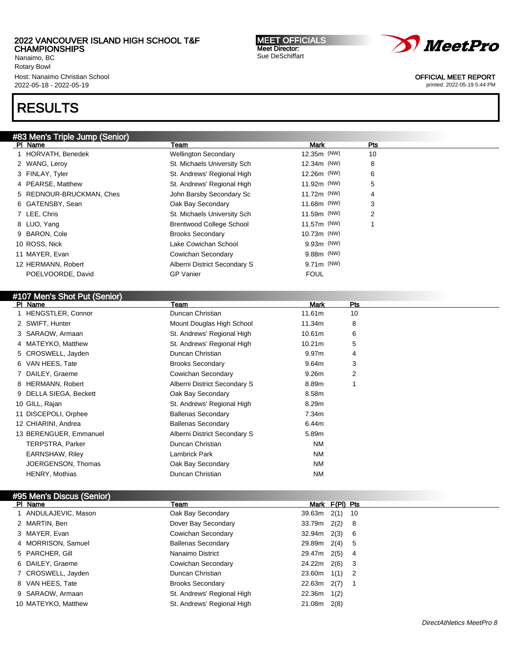Nanaimo, BC Rotary Bowl Host: Nanaimo Christian School 2022-05-18 - 2022-05-19

# RESULTS

## #83 Men's Triple Jump (Senior) Pl Name Team Mark Pts 1 HORVATH, Benedek **Wellington Secondary** 12.35m (NW) 10 2 WANG, Leroy **St. Michaels University Sch** 12.34m (NW) 8 3 FINLAY, Tyler St. Andrews' Regional High 12.26m (NW) 6 4 PEARSE, Matthew St. Andrews' Regional High 11.92m (NW) 5 5 REDNOUR-BRUCKMAN, Ches John Barsby Secondary Sc 11.72m (NW) 4 6 GATENSBY, Sean Oak Bay Secondary 11.68m (NW) 3 7 LEE, Chris Chris St. Michaels University Sch 11.59m (NW) 2 8 LUO, Yang **Brentwood College School** 11.57m (NW) 1 9 BARON, Cole **Brooks Secondary Brooks Secondary** 10.73m (NW) 10 ROSS, Nick Lake Cowichan School 9.93m (NW) 11 MAYER, Evan Cowichan Secondary 9.88m (NW) 12 HERMANN, Robert **Alberni District Secondary S** 9.71m (NW) POELVOORDE, David GP Vanier GP Vanier FOUL

## #107 Men's Shot Put (Senior)

| PI Name                | Team                         | <b>Mark</b>       | Pts |  |
|------------------------|------------------------------|-------------------|-----|--|
| 1 HENGSTLER, Connor    | Duncan Christian             | 11.61m            | 10  |  |
| 2 SWIFT, Hunter        | Mount Douglas High School    | 11.34m            | 8   |  |
| 3 SARAOW, Armaan       | St. Andrews' Regional High   | 10.61m            | 6   |  |
| 4 MATEYKO, Matthew     | St. Andrews' Regional High   | 10.21m            | 5   |  |
| 5 CROSWELL, Jayden     | Duncan Christian             | 9.97 <sub>m</sub> | 4   |  |
| 6 VAN HEES, Tate       | <b>Brooks Secondary</b>      | 9.64m             | 3   |  |
| 7 DAILEY, Graeme       | Cowichan Secondary           | 9.26m             | 2   |  |
| 8 HERMANN, Robert      | Alberni District Secondary S | 8.89m             |     |  |
| 9 DELLA SIEGA, Beckett | Oak Bay Secondary            | 8.58m             |     |  |
| 10 GILL, Rajan         | St. Andrews' Regional High   | 8.29m             |     |  |
| 11 DISCEPOLI, Orphee   | <b>Ballenas Secondary</b>    | 7.34m             |     |  |
| 12 CHIARINI, Andrea    | <b>Ballenas Secondary</b>    | 6.44m             |     |  |
| 13 BERENGUER, Emmanuel | Alberni District Secondary S | 5.89m             |     |  |
| TERPSTRA, Parker       | Duncan Christian             | NM                |     |  |
| <b>EARNSHAW, Riley</b> | Lambrick Park                | <b>NM</b>         |     |  |
| JOERGENSON, Thomas     | Oak Bay Secondary            | <b>NM</b>         |     |  |
| <b>HENRY, Mothias</b>  | Duncan Christian             | <b>NM</b>         |     |  |
|                        |                              |                   |     |  |

| #95 Men's Discus (Senior) |                            |               |                |     |  |
|---------------------------|----------------------------|---------------|----------------|-----|--|
| PI Name                   | Team                       |               | Mark F(PI) Pts |     |  |
| 1 ANDULAJEVIC, Mason      | Oak Bay Secondary          | 39.63m        | $2(1)$ 10      |     |  |
| 2 MARTIN, Ben             | Dover Bay Secondary        | 33.79m        | 2(2)           | -8  |  |
| 3 MAYER, Evan             | Cowichan Secondary         | 32.94m        | 2(3)           | - 6 |  |
| 4 MORRISON, Samuel        | <b>Ballenas Secondary</b>  | 29.89m        | 2(4)           | -5  |  |
| 5 PARCHER, Gill           | Nanaimo District           | 29.47m        | 2(5)           | -4  |  |
| 6 DAILEY, Graeme          | Cowichan Secondary         | 24.22m        | 2(6)           | -3  |  |
| 7 CROSWELL, Jayden        | Duncan Christian           | $23.60m$ 1(1) |                | - 2 |  |
| 8 VAN HEES, Tate          | <b>Brooks Secondary</b>    | 22.63m        | 2(7)           |     |  |
| 9 SARAOW, Armaan          | St. Andrews' Regional High | 22.36m        | 1(2)           |     |  |
| 10 MATEYKO, Matthew       | St. Andrews' Regional High | 21.08m        | 2(8)           |     |  |

MEET OFFICIALS Meet Director: Sue DeSchiffart



OFFICIAL MEET REPORT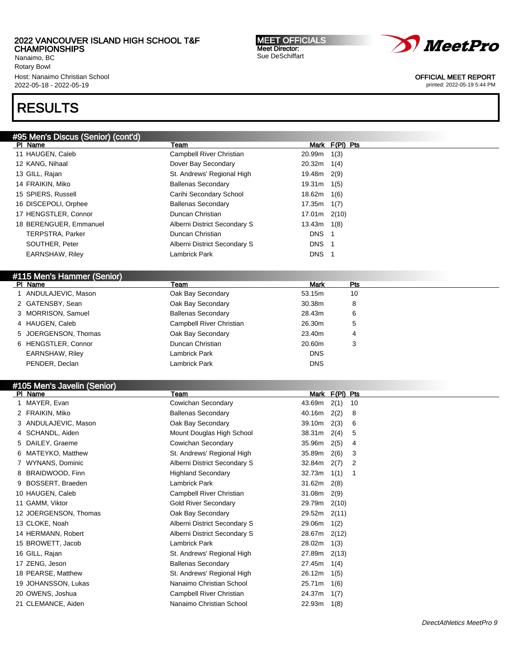Nanaimo, BC Rotary Bowl Host: Nanaimo Christian School 2022-05-18 - 2022-05-19

# RESULTS

| #95 Men's Discus (Senior) (cont'd) |                              |             |                |  |
|------------------------------------|------------------------------|-------------|----------------|--|
| PI Name                            | Team                         |             | Mark F(PI) Pts |  |
| 11 HAUGEN, Caleb                   | Campbell River Christian     | 20.99m      | 1(3)           |  |
| 12 KANG, Nihaal                    | Dover Bay Secondary          | 20.32m      | 1(4)           |  |
| 13 GILL, Rajan                     | St. Andrews' Regional High   | 19.48m      | 2(9)           |  |
| 14 FRAIKIN, Miko                   | <b>Ballenas Secondary</b>    | 19.31m      | 1(5)           |  |
| 15 SPIERS, Russell                 | Carihi Secondary School      | 18.62m      | 1(6)           |  |
| 16 DISCEPOLI, Orphee               | <b>Ballenas Secondary</b>    | 17.35m      | 1(7)           |  |
| 17 HENGSTLER, Connor               | Duncan Christian             | 17.01m      | 2(10)          |  |
| 18 BERENGUER, Emmanuel             | Alberni District Secondary S | 13.43m      | 1(8)           |  |
| TERPSTRA, Parker                   | Duncan Christian             | <b>DNS</b>  | $\mathbf{1}$   |  |
| SOUTHER, Peter                     | Alberni District Secondary S | <b>DNS</b>  | -1             |  |
| <b>EARNSHAW, Riley</b>             | Lambrick Park                | DNS 1       |                |  |
|                                    |                              |             |                |  |
| #115 Men's Hammer (Senior)         |                              |             |                |  |
| PI Name                            | Team                         | <b>Mark</b> | Pts            |  |
| 1 ANDULAJEVIC, Mason               | Oak Bay Secondary            | 53.15m      | 10             |  |
| 2 GATENSBY, Sean                   | Oak Bay Secondary            | 30.38m      | 8              |  |
| 3 MORRISON, Samuel                 | <b>Ballenas Secondary</b>    | 28.43m      | 6              |  |
| 4 HAUGEN, Caleb                    | Campbell River Christian     | 26.30m      | 5              |  |
| 5 JOERGENSON, Thomas               | Oak Bay Secondary            | 23.40m      | 4              |  |
| 6 HENGSTLER, Connor                | Duncan Christian             | 20.60m      | 3              |  |
| <b>EARNSHAW, Riley</b>             | Lambrick Park                | <b>DNS</b>  |                |  |
| PENDER, Declan                     | <b>Lambrick Park</b>         | <b>DNS</b>  |                |  |
|                                    |                              |             |                |  |
| #105 Men's Javelin (Senior)        |                              |             |                |  |
| PI Name                            | Team                         | Mark        | F(PI) Pts      |  |
| 1 MAYER, Evan                      | Cowichan Secondary           | 43.69m      | 2(1)<br>10     |  |
| 2 FRAIKIN, Miko                    | <b>Ballenas Secondary</b>    | 40.16m      | 2(2)<br>8      |  |
| 3 ANDULAJEVIC, Mason               | Oak Bay Secondary            | 39.10m      | 2(3)<br>6      |  |
| 4 SCHANDL, Aiden                   | Mount Douglas High School    | 38.31m      | 2(4)<br>5      |  |
| 5 DAILEY, Graeme                   | Cowichan Secondary           | 35.96m      | 2(5)<br>4      |  |
| 6 MATEYKO, Matthew                 | St. Andrews' Regional High   | 35.89m      | 2(6)<br>3      |  |
| 7 WYNANS, Dominic                  | Alberni District Secondary S | 32.84m      | 2(7)<br>2      |  |
| 8 BRAIDWOOD, Finn                  | <b>Highland Secondary</b>    | 32.73m      | 1(1)<br>1      |  |
| 9 BOSSERT, Braeden                 | Lambrick Park                | 31.62m      | 2(8)           |  |
| 10 HAUGEN, Caleb                   | Campbell River Christian     | 31.08m      | 2(9)           |  |
|                                    | <b>Gold River Secondary</b>  |             |                |  |
| 11 GAMM, Viktor                    |                              | 29.79m      | 2(10)          |  |
| 12 JOERGENSON, Thomas              | Oak Bay Secondary            | 29.52m      | 2(11)          |  |
| 13 CLOKE, Noah                     | Alberni District Secondary S | 29.06m      | 1(2)           |  |
| 14 HERMANN, Robert                 | Alberni District Secondary S | 28.67m      | 2(12)          |  |
| 15 BROWETT, Jacob                  | Lambrick Park                | 28.02m      | 1(3)           |  |
| 16 GILL, Rajan                     | St. Andrews' Regional High   | 27.89m      | 2(13)          |  |
| 17 ZENG, Jeson                     | <b>Ballenas Secondary</b>    | 27.45m      | 1(4)           |  |
| 18 PEARSE, Matthew                 | St. Andrews' Regional High   | 26.12m      | 1(5)           |  |
| 19 JOHANSSON, Lukas                | Nanaimo Christian School     | 25.71m      | 1(6)           |  |
| 20 OWENS, Joshua                   | Campbell River Christian     | 24.37m      | 1(7)           |  |
| 21 CLEMANCE, Aiden                 | Nanaimo Christian School     | 22.93m      | 1(8)           |  |

MEET OFFICIALS Meet Director: Sue DeSchiffart



OFFICIAL MEET REPORT printed: 2022-05-19 5:44 PM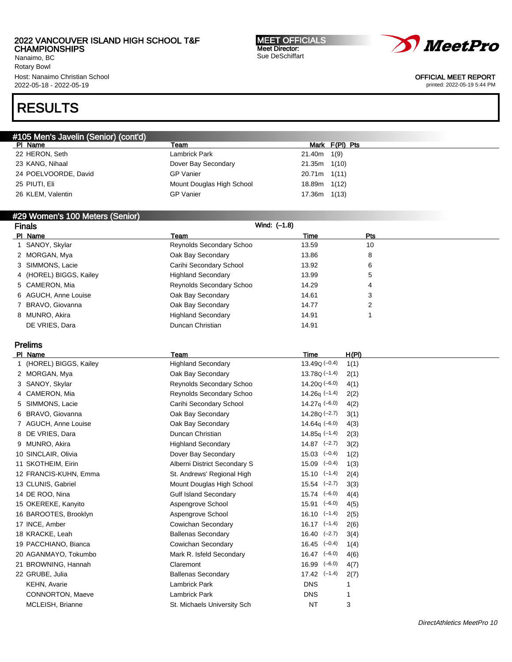Nanaimo, BC Rotary Bowl Host: Nanaimo Christian School 2022-05-18 - 2022-05-19

# RESULTS

| #105 Men's Javelin (Senior) (cont'd) |                           |                  |                |
|--------------------------------------|---------------------------|------------------|----------------|
| PI Name                              | Team                      |                  | Mark F(PI) Pts |
| 22 HERON, Seth                       | Lambrick Park             | $21.40m$ 1(9)    |                |
| 23 KANG, Nihaal                      | Dover Bay Secondary       | $21.35m$ $1(10)$ |                |
| 24 POELVOORDE, David                 | <b>GP</b> Vanier          | $20.71m$ 1(11)   |                |
| 25 PIUTI, Eli                        | Mount Douglas High School | 18.89m 1(12)     |                |
| 26 KLEM, Valentin                    | <b>GP</b> Vanier          | 17.36m 1(13)     |                |

## #29 Women's 100 Meters (Senior)

| Wind: (-1.8)<br><b>Finals</b> |                         |                           |       |     |  |
|-------------------------------|-------------------------|---------------------------|-------|-----|--|
|                               | PI Name                 | Team                      | Time  | Pts |  |
|                               | 1 SANOY, Skylar         | Reynolds Secondary Schoo  | 13.59 | 10  |  |
|                               | 2 MORGAN, Mya           | Oak Bay Secondary         | 13.86 | 8   |  |
|                               | 3 SIMMONS, Lacie        | Carihi Secondary School   | 13.92 | 6   |  |
|                               | 4 (HOREL) BIGGS, Kailey | <b>Highland Secondary</b> | 13.99 | 5   |  |
|                               | 5 CAMERON, Mia          | Reynolds Secondary Schoo  | 14.29 | 4   |  |
|                               | 6 AGUCH, Anne Louise    | Oak Bay Secondary         | 14.61 | 3   |  |
|                               | 7 BRAVO, Giovanna       | Oak Bay Secondary         | 14.77 | 2   |  |
|                               | 8 MUNRO, Akira          | <b>Highland Secondary</b> | 14.91 |     |  |
|                               | DE VRIES, Dara          | Duncan Christian          | 14.91 |     |  |

# Prelims

| PI.<br>Name             | Team                         | Time                        | <u>H(PI)</u> |
|-------------------------|------------------------------|-----------------------------|--------------|
| 1 (HOREL) BIGGS, Kailey | <b>Highland Secondary</b>    | $13.49Q(-0.4)$              | 1(1)         |
| 2 MORGAN, Mya           | Oak Bay Secondary            | $13.78Q(-1.4)$              | 2(1)         |
| 3 SANOY, Skylar         | Reynolds Secondary Schoo     | $14.20Q(-6.0)$              | 4(1)         |
| 4 CAMERON, Mia          | Reynolds Secondary Schoo     | $14.26q$ (-1.4)             | 2(2)         |
| 5 SIMMONS, Lacie        | Carihi Secondary School      | 14.27 $q(-6.0)$             | 4(2)         |
| 6 BRAVO, Giovanna       | Oak Bay Secondary            | $14.28Q (-2.7)$             | 3(1)         |
| 7 AGUCH, Anne Louise    | Oak Bay Secondary            | 14.64 $\sigma$ (-6.0)       | 4(3)         |
| 8 DE VRIES, Dara        | Duncan Christian             | $14.85q (-1.4)$             | 2(3)         |
| 9 MUNRO, Akira          | <b>Highland Secondary</b>    | $14.87$ $(-2.7)$            | 3(2)         |
| 10 SINCLAIR, Olivia     | Dover Bay Secondary          | $15.03$ $(-0.4)$            | 1(2)         |
| 11 SKOTHEIM, Eirin      | Alberni District Secondary S | $(-0.4)$<br>15.09           | 1(3)         |
| 12 FRANCIS-KUHN, Emma   | St. Andrews' Regional High   | $15.10 \left( -1.4 \right)$ | 2(4)         |
| 13 CLUNIS, Gabriel      | Mount Douglas High School    | $15.54$ $(-2.7)$            | 3(3)         |
| 14 DE ROO, Nina         | <b>Gulf Island Secondary</b> | $15.74$ $(-6.0)$            | 4(4)         |
| 15 OKEREKE, Kanyito     | Aspengrove School            | $15.91$ $(-6.0)$            | 4(5)         |
| 16 BAROOTES, Brooklyn   | Aspengrove School            | $16.10 \left( -1.4 \right)$ | 2(5)         |
| 17 INCE, Amber          | Cowichan Secondary           | $16.17$ $(-1.4)$            | 2(6)         |
| 18 KRACKE, Leah         | <b>Ballenas Secondary</b>    | $16.40 (-2.7)$              | 3(4)         |
| 19 PACCHIANO, Bianca    | Cowichan Secondary           | $16.45 (-0.4)$              | 1(4)         |
| 20 AGANMAYO, Tokumbo    | Mark R. Isfeld Secondary     | $16.47$ $(-6.0)$            | 4(6)         |
| 21 BROWNING, Hannah     | Claremont                    | $16.99$ $(-6.0)$            | 4(7)         |
| 22 GRUBE, Julia         | <b>Ballenas Secondary</b>    | $17.42$ $(-1.4)$            | 2(7)         |
| KEHN, Avarie            | <b>Lambrick Park</b>         | <b>DNS</b>                  |              |
| <b>CONNORTON, Maeve</b> | <b>Lambrick Park</b>         | <b>DNS</b>                  |              |
| MCLEISH, Brianne        | St. Michaels University Sch  | <b>NT</b>                   | 3            |

MEET OFFICIALS Meet Director: Sue DeSchiffart



OFFICIAL MEET REPORT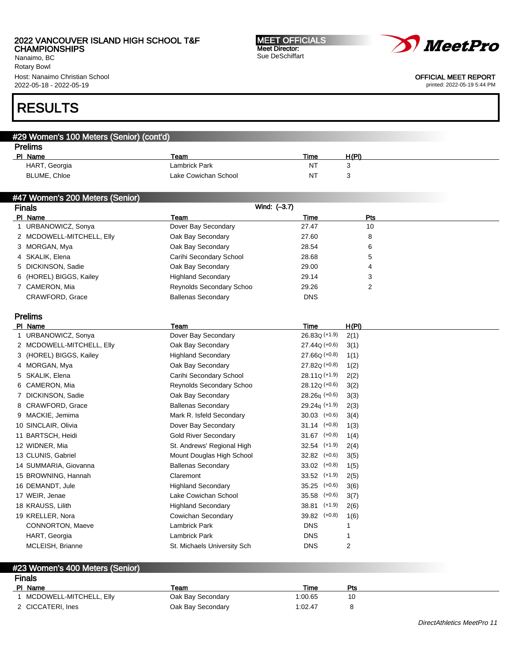Nanaimo, BC Rotary Bowl Host: Nanaimo Christian School 2022-05-18 - 2022-05-19

# RESULTS

| <b>Prelims</b> |                      |           |       |
|----------------|----------------------|-----------|-------|
| PI Name        | Team                 | Time      | H(PI) |
| HART, Georgia  | Lambrick Park        | <b>NT</b> |       |
| BLUME, Chloe   | Lake Cowichan School | NT        |       |

MEET OFFICIALS Meet Director: Sue DeSchiffart

## #47 Women's 200 Meters (Senior)

#29 Women's 100 Meters (Senior) (cont'd)

| <b>Finals</b> |                           |                           | Wind: (-3.7) |                |  |
|---------------|---------------------------|---------------------------|--------------|----------------|--|
|               | PI Name                   | Team                      | Time         | Pts            |  |
|               | 1 URBANOWICZ, Sonya       | Dover Bay Secondary       | 27.47        | 10             |  |
|               | 2 MCDOWELL-MITCHELL, Elly | Oak Bay Secondary         | 27.60        | 8              |  |
|               | 3 MORGAN, Mya             | Oak Bay Secondary         | 28.54        | 6              |  |
|               | 4 SKALIK, Elena           | Carihi Secondary School   | 28.68        | 5              |  |
|               | 5 DICKINSON, Sadie        | Oak Bay Secondary         | 29.00        | $\overline{4}$ |  |
|               | 6 (HOREL) BIGGS, Kailey   | <b>Highland Secondary</b> | 29.14        | 3              |  |
|               | 7 CAMERON, Mia            | Reynolds Secondary Schoo  | 29.26        | 2              |  |
|               | CRAWFORD, Grace           | <b>Ballenas Secondary</b> | <b>DNS</b>   |                |  |

## Prelims

| PI Name                   | Team                        | Time              | H(PI)                                                                                                                                                                                                     |
|---------------------------|-----------------------------|-------------------|-----------------------------------------------------------------------------------------------------------------------------------------------------------------------------------------------------------|
| 1 URBANOWICZ, Sonya       | Dover Bay Secondary         | $26.83Q (+1.9)$   | 2(1)                                                                                                                                                                                                      |
| 2 MCDOWELL-MITCHELL, Elly | Oak Bay Secondary           |                   | 3(1)                                                                                                                                                                                                      |
| 3 (HOREL) BIGGS, Kailey   | <b>Highland Secondary</b>   |                   | 1(1)                                                                                                                                                                                                      |
| 4 MORGAN, Mya             | Oak Bay Secondary           |                   | 1(2)                                                                                                                                                                                                      |
| 5 SKALIK, Elena           | Carihi Secondary School     | $28.11Q (+1.9)$   | 2(2)                                                                                                                                                                                                      |
| 6 CAMERON, Mia            | Reynolds Secondary Schoo    |                   | 3(2)                                                                                                                                                                                                      |
| 7 DICKINSON, Sadie        | Oak Bay Secondary           | $28.26q (+0.6)$   | 3(3)                                                                                                                                                                                                      |
| 8 CRAWFORD, Grace         | <b>Ballenas Secondary</b>   |                   | 2(3)                                                                                                                                                                                                      |
| 9 MACKIE, Jemima          | Mark R. Isfeld Secondary    | $30.03$ $(+0.6)$  | 3(4)                                                                                                                                                                                                      |
| 10 SINCLAIR, Olivia       | Dover Bay Secondary         |                   | 1(3)                                                                                                                                                                                                      |
| 11 BARTSCH, Heidi         | <b>Gold River Secondary</b> |                   | 1(4)                                                                                                                                                                                                      |
| 12 WIDNER, Mia            | St. Andrews' Regional High  |                   | 2(4)                                                                                                                                                                                                      |
| 13 CLUNIS, Gabriel        | Mount Douglas High School   | $32.82$ $(+0.6)$  | 3(5)                                                                                                                                                                                                      |
| 14 SUMMARIA, Giovanna     | <b>Ballenas Secondary</b>   | $33.02$ $(+0.8)$  | 1(5)                                                                                                                                                                                                      |
| 15 BROWNING, Hannah       | Claremont                   |                   | 2(5)                                                                                                                                                                                                      |
| 16 DEMANDT, Jule          | <b>Highland Secondary</b>   |                   | 3(6)                                                                                                                                                                                                      |
| 17 WEIR, Jenae            | Lake Cowichan School        | $(+0.6)$<br>35.58 | 3(7)                                                                                                                                                                                                      |
| 18 KRAUSS, Lilith         | <b>Highland Secondary</b>   | 38.81 (+1.9)      | 2(6)                                                                                                                                                                                                      |
| 19 KRELLER, Nora          | Cowichan Secondary          |                   | 1(6)                                                                                                                                                                                                      |
| CONNORTON, Maeve          | <b>Lambrick Park</b>        | <b>DNS</b>        |                                                                                                                                                                                                           |
| HART, Georgia             | Lambrick Park               | <b>DNS</b>        |                                                                                                                                                                                                           |
| MCLEISH, Brianne          | St. Michaels University Sch | <b>DNS</b>        | 2                                                                                                                                                                                                         |
|                           |                             |                   | $27.44Q (+0.6)$<br>$27.66Q (+0.8)$<br>$27.82Q (+0.8)$<br>$28.12Q (+0.6)$<br>$29.24q$ (+1.9)<br>$31.14$ (+0.8)<br>$31.67$ (+0.8)<br>$32.54$ $(+1.9)$<br>$33.52$ (+1.9)<br>$35.25$ $(+0.6)$<br>39.82 (+0.8) |

## #23 Women's 400 Meters (Senior) Finals<br><u>PI Name</u> PI Name Particle Property of the Team Time Present Property of the Present Present Present Present Present Pre 1 MCDOWELL-MITCHELL, Elly **Oak Bay Secondary** 1:00.65 10

|  | 2 CICCATERI, Ines |  |
|--|-------------------|--|
|--|-------------------|--|

|                           | .                 | .       |  |
|---------------------------|-------------------|---------|--|
| 1 MCDOWELL-MITCHELL, Elly | Oak Bay Secondary | 1:00.65 |  |
| 2 CICCATERI, Ines         | Oak Bay Secondary | 1:02.47 |  |



OFFICIAL MEET REPORT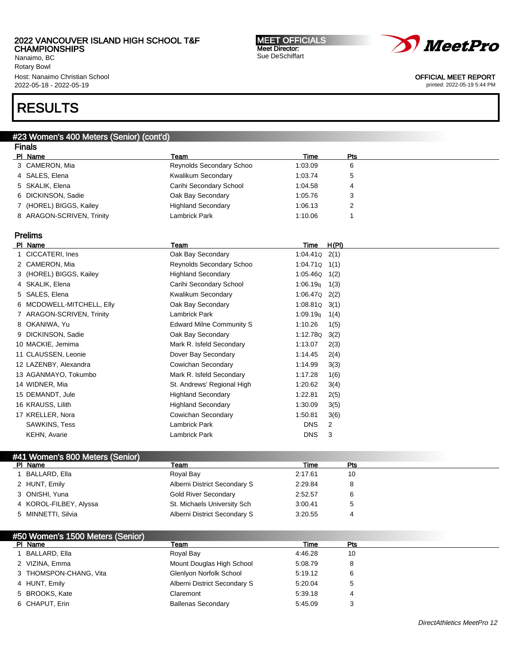Nanaimo, BC Rotary Bowl Host: Nanaimo Christian School 2022-05-18 - 2022-05-19

# RESULTS

# PI Name Particle Property of the Team Time Present Property of the Present Present Present Present Present Pre 3 CAMERON, Mia and the Reynolds Secondary Schoo 3 (1:03.09 6) 4 SALES, Elena **1:03.74** 5 **Kwalikum Secondary** 1:03.74 5 5 SKALIK, Elena Carihi Secondary School 1:04.58 4 6 DICKINSON, Sadie Oak Bay Secondary 1:05.76 3 7 (HOREL) BIGGS, Kailey **Highland Secondary** 1:06.13 2 8 ARAGON-SCRIVEN, Trinity **Lambrick Park 1:10.06** 1:10.06 1 Prelims Pl Name Team Time H(Pl) 1 CICCATERI, Ines Oak Bay Secondary 1:04.41Q 2(1) 2 CAMERON, Mia Reynolds Secondary Schoo 1:04.71Q 1(1) 3 (HOREL) BIGGS, Kailey Highland Secondary 1:05.46Q 1(2) 4 SKALIK, Elena **Carihi Secondary School** 1:06.19q 1(3) 5 SALES, Elena Kwalikum Secondary 1:06.47Q 2(2) 6 MCDOWELL-MITCHELL, Elly Oak Bay Secondary 1:08.81Q 3(1) 7 ARAGON-SCRIVEN, Trinity Lambrick Park 1:09.19q 1(4) 8 OKANIWA, Yu **Edward Milne Community S** 1:10.26 1(5) 9 DICKINSON, Sadie **Oak Bay Secondary 1:12.78** (1:12.78 a) 1:12.78 (2) 10 MACKIE, Jemima Mark R. Isfeld Secondary 1:13.07 2(3) 11 CLAUSSEN, Leonie Dover Bay Secondary 1:14.45 2(4) 12 LAZENBY, Alexandra Cowichan Secondary 1:14.99 3(3) 13 AGANMAYO, Tokumbo Mark R. Isfeld Secondary 1:17.28 1(6) 14 WIDNER, Mia St. Andrews' Regional High 1:20.62 3(4) 15 DEMANDT, Jule **1:22.81** 2(5) Highland Secondary 1:22.81 2(5) 16 KRAUSS, Lilith **Highland Secondary** 1:30.09 3(5) 17 KRELLER, Nora Cowichan Secondary 1:50.81 3(6) SAWKINS, Tess **Example 2** Lambrick Park DNS 2 KEHN, Avarie **Construction Construction Construction Construction Construction Construction Construction Construction Construction Construction Construction Construction Construction Construction Construction Construction**

## #41 Women's 800 Meters (Senior) PI Name Particle Property of the Team Time Present Property of the Present Present Present Present Present Pre 1 BALLARD, Ella 10 and 2:17.61 10 2 HUNT, Emily **Alberni District Secondary S** 2:29.84 8 3 ONISHI, Yuna **Cold River Secondary 12:52.57** 6 4 KOROL-FILBEY, Alyssa St. Michaels University Sch 3:00.41 5 5 MINNETTI, Silvia **Alberni District Secondary S** 3:20.55 4

| #50 Women's 1500 Meters (Senior) |                              |         |     |
|----------------------------------|------------------------------|---------|-----|
| PI Name                          | Team                         | Time    | Pts |
| BALLARD, Ella                    | Royal Bay                    | 4:46.28 | 10  |
| 2 VIZINA, Emma                   | Mount Douglas High School    | 5:08.79 | 8   |
| 3 THOMSPON-CHANG, Vita           | Glenlyon Norfolk School      | 5:19.12 | 6   |
| 4 HUNT, Emily                    | Alberni District Secondary S | 5:20.04 | 5   |
| 5 BROOKS, Kate                   | Claremont                    | 5:39.18 | 4   |
| 6 CHAPUT, Erin                   | <b>Ballenas Secondary</b>    | 5:45.09 | 3   |

# *MeetPro*

OFFICIAL MEET REPORT

printed: 2022-05-19 5:44 PM

#### MEET OFFICIALS Meet Director: Sue DeSchiffart

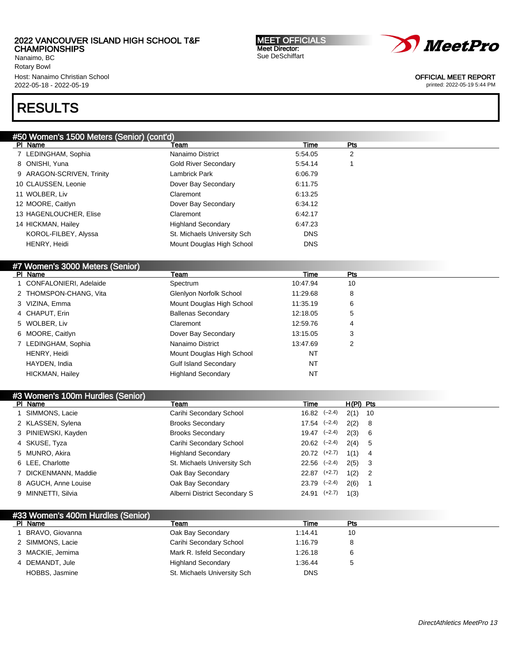Nanaimo, BC Rotary Bowl Host: Nanaimo Christian School 2022-05-18 - 2022-05-19

#### MEET OFFICIALS Meet Director: Sue DeSchiffart



OFFICIAL MEET REPORT

printed: 2022-05-19 5:44 PM

# RESULTS

| #50 Women's 1500 Meters (Senior) (cont'd) |                             |            |                |  |
|-------------------------------------------|-----------------------------|------------|----------------|--|
| PI Name                                   | Team                        | Time       | Pts            |  |
| 7 LEDINGHAM, Sophia                       | Nanaimo District            | 5:54.05    | $\overline{2}$ |  |
| 8 ONISHI, Yuna                            | <b>Gold River Secondary</b> | 5:54.14    |                |  |
| 9 ARAGON-SCRIVEN, Trinity                 | Lambrick Park               | 6:06.79    |                |  |
| 10 CLAUSSEN, Leonie                       | Dover Bay Secondary         | 6:11.75    |                |  |
| 11 WOLBER, Liv                            | Claremont                   | 6:13.25    |                |  |
| 12 MOORE, Caitlyn                         | Dover Bay Secondary         | 6:34.12    |                |  |
| 13 HAGENLOUCHER, Elise                    | Claremont                   | 6:42.17    |                |  |
| 14 HICKMAN, Hailey                        | <b>Highland Secondary</b>   | 6:47.23    |                |  |
| KOROL-FILBEY, Alyssa                      | St. Michaels University Sch | <b>DNS</b> |                |  |
| HENRY, Heidi                              | Mount Douglas High School   | <b>DNS</b> |                |  |
|                                           |                             |            |                |  |
| #7 Women's 3000 Meters (Senior)           |                             |            |                |  |
| PI Name                                   | Team                        | Time       | Pts            |  |

|                          | .                            | .        | .  |
|--------------------------|------------------------------|----------|----|
| 1 CONFALONIERI, Adelaide | Spectrum                     | 10:47.94 | 10 |
| 2 THOMSPON-CHANG, Vita   | Glenlyon Norfolk School      | 11:29.68 | 8  |
| 3 VIZINA, Emma           | Mount Douglas High School    | 11:35.19 | 6  |
| 4 CHAPUT, Erin           | <b>Ballenas Secondary</b>    | 12:18.05 | 5  |
| 5 WOLBER, Liv            | Claremont                    | 12:59.76 | 4  |
| 6 MOORE, Caitlyn         | Dover Bay Secondary          | 13:15.05 | 3  |
| 7 LEDINGHAM, Sophia      | Nanaimo District             | 13:47.69 | 2  |
| HENRY, Heidi             | Mount Douglas High School    | NT       |    |
| HAYDEN, India            | <b>Gulf Island Secondary</b> | NT       |    |
| <b>HICKMAN, Hailey</b>   | <b>Highland Secondary</b>    | NT       |    |
|                          |                              |          |    |

| #3 Women's 100m Hurdles (Senior) |                              |                      |           |                            |
|----------------------------------|------------------------------|----------------------|-----------|----------------------------|
| PI Name                          | Team                         | Time                 | H(PI) Pts |                            |
| SIMMONS, Lacie                   | Carihi Secondary School      | $16.82 \quad (-2.4)$ | $2(1)$ 10 |                            |
| 2 KLASSEN, Sylena                | <b>Brooks Secondary</b>      | $17.54$ $(-2.4)$     | 2(2) 8    |                            |
| 3 PINIEWSKI, Kayden              | <b>Brooks Secondary</b>      | $19.47$ $(-2.4)$     | 2(3) 6    |                            |
| 4 SKUSE, Tyza                    | Carihi Secondary School      | $20.62$ $(-2.4)$     | 2(4) 5    |                            |
| 5 MUNRO, Akira                   | <b>Highland Secondary</b>    | $20.72$ $(+2.7)$     | $1(1)$ 4  |                            |
| 6 LEE, Charlotte                 | St. Michaels University Sch  | $22.56$ $(-2.4)$     | $2(5)$ 3  |                            |
| 7 DICKENMANN, Maddie             | Oak Bay Secondary            | $22.87$ $(+2.7)$     | 1(2)      | $\overline{\phantom{0}}^2$ |
| 8 AGUCH, Anne Louise             | Oak Bay Secondary            | $23.79$ $(-2.4)$     | 2(6)      |                            |
| 9 MINNETTI, Silvia               | Alberni District Secondary S | $24.91$ $(+2.7)$     | 1(3)      |                            |

## #33 Women's 400m Hurdles (Senior)<br>PL Name Pl Name Team Time Pts 1 BRAVO, Giovanna **1.14.41** 10 2 SIMMONS, Lacie Carihi Secondary School 1:16.79 8 3 MACKIE, Jemima **Mark R. Isfeld Secondary** 1:26.18 6 4 DEMANDT, Jule **1:36.44** 5 HOBBS, Jasmine **St. Michaels University Sch** DNS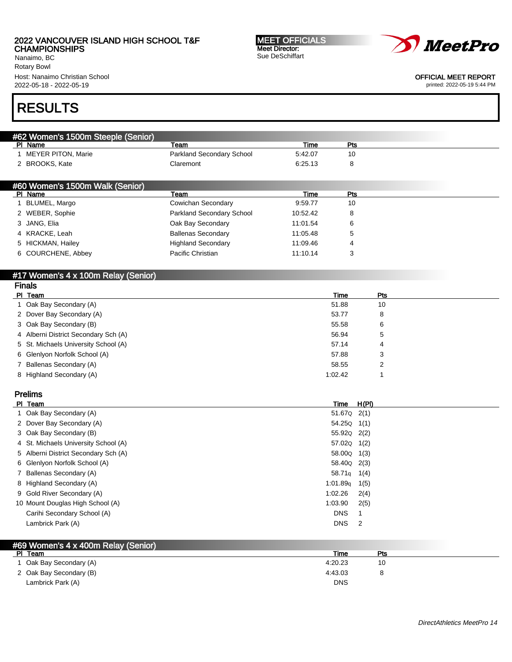Nanaimo, BC Rotary Bowl Host: Nanaimo Christian School 2022-05-18 - 2022-05-19

MEET OFFICIALS Meet Director: Sue DeSchiffart



OFFICIAL MEET REPORT

printed: 2022-05-19 5:44 PM

# RESULTS

| #62 Women's 1500m Steeple (Senior) |                           |          |     |  |
|------------------------------------|---------------------------|----------|-----|--|
| PI Name                            | Team                      | Time     | Pts |  |
| MEYER PITON, Marie                 | Parkland Secondary School | 5:42.07  | 10  |  |
| 2 BROOKS, Kate                     | Claremont                 | 6:25.13  | 8   |  |
|                                    |                           |          |     |  |
| #60 Women's 1500m Walk (Senior)    |                           |          |     |  |
| PI Name                            | Team                      | Time     | Pts |  |
|                                    |                           |          |     |  |
| BLUMEL, Margo                      | Cowichan Secondary        | 9:59.77  | 10  |  |
| 2 WEBER, Sophie                    | Parkland Secondary School | 10:52.42 | 8   |  |
| 3 JANG, Elia                       | Oak Bay Secondary         | 11:01.54 | 6   |  |
| 4 KRACKE, Leah                     | <b>Ballenas Secondary</b> | 11:05.48 | 5   |  |
| 5 HICKMAN, Hailey                  | <b>Highland Secondary</b> | 11:09.46 | 4   |  |

#### #17 Women's 4 x 100m Relay (Senior) Finals

| гназ                                 |         |            |
|--------------------------------------|---------|------------|
| PI Team                              | Time    | <b>Pts</b> |
| 1 Oak Bay Secondary (A)              | 51.88   | 10         |
| 2 Dover Bay Secondary (A)            | 53.77   | 8          |
| 3 Oak Bay Secondary (B)              | 55.58   | 6          |
| 4 Alberni District Secondary Sch (A) | 56.94   | 5          |
| 5 St. Michaels University School (A) | 57.14   | 4          |
| 6 Glenlyon Norfolk School (A)        | 57.88   | 3          |
| 7 Ballenas Secondary (A)             | 58.55   |            |
| 8 Highland Secondary (A)             | 1:02.42 |            |
|                                      |         |            |

# Prelims

| PI Team                              | Time                    | H(PI) |
|--------------------------------------|-------------------------|-------|
| 1 Oak Bay Secondary (A)              | $51.67Q$ $2(1)$         |       |
| 2 Dover Bay Secondary (A)            | 54.25Q 1(1)             |       |
| 3 Oak Bay Secondary (B)              | 55.92Q 2(2)             |       |
| 4 St. Michaels University School (A) | 57.02Q 1(2)             |       |
| 5 Alberni District Secondary Sch (A) | 58.00 <sub>Q</sub> 1(3) |       |
| 6 Glenlyon Norfolk School (A)        | 58.40 <sub>Q</sub> 2(3) |       |
| 7 Ballenas Secondary (A)             | 58.71 <sub>g</sub>      | 1(4)  |
| 8 Highland Secondary (A)             | 1.01.89q                | 1(5)  |
| 9 Gold River Secondary (A)           | 1:02.26                 | 2(4)  |
| 10 Mount Douglas High School (A)     | 1:03.90                 | 2(5)  |
| Carihi Secondary School (A)          | <b>DNS</b>              |       |
| Lambrick Park (A)                    | <b>DNS</b>              | 2     |

# #69 Women's 4 x 400m Relay (Senior)

| PI Team                 | Time       | Pts |  |
|-------------------------|------------|-----|--|
| Oak Bay Secondary (A)   | 4:20.23    | 10  |  |
| 2 Oak Bay Secondary (B) | 4:43.03    |     |  |
| Lambrick Park (A)       | <b>DNS</b> |     |  |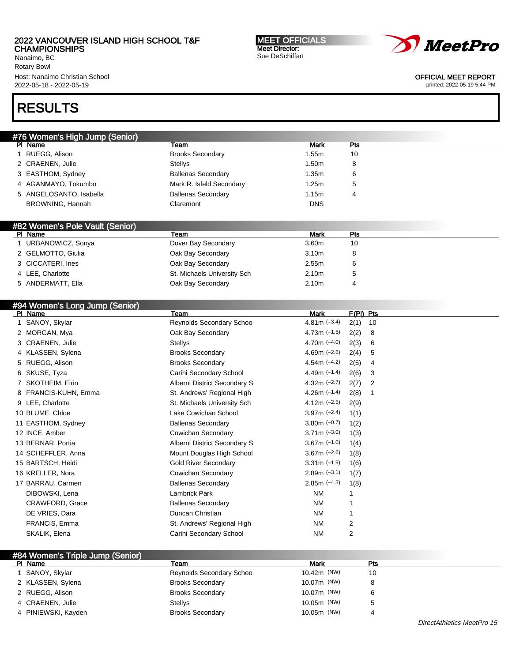Nanaimo, BC Rotary Bowl Host: Nanaimo Christian School 2022-05-18 - 2022-05-19

# RESULTS

| #76 Women's High Jump (Senior) |                           |             |     |
|--------------------------------|---------------------------|-------------|-----|
| PI Name                        | Team                      | <b>Mark</b> | Pts |
| RUEGG, Alison                  | <b>Brooks Secondary</b>   | 1.55m       | 10  |
| 2 CRAENEN, Julie               | Stellys                   | 1.50m       | 8   |
| 3 EASTHOM, Sydney              | <b>Ballenas Secondary</b> | 1.35m       | 6   |
| 4 AGANMAYO, Tokumbo            | Mark R. Isfeld Secondary  | 1.25m       | ა   |
| 5 ANGELOSANTO, Isabella        | <b>Ballenas Secondary</b> | 1.15m       |     |
| BROWNING, Hannah               | Claremont                 | <b>DNS</b>  |     |
|                                |                           |             |     |

## #82 Women's Pole Vault (Senior)

| Name<br>PI.        | Team                        | Mark              | Pts |
|--------------------|-----------------------------|-------------------|-----|
| URBANOWICZ, Sonya  | Dover Bay Secondary         | 3.60m             | 10  |
| 2 GELMOTTO, Giulia | Oak Bay Secondary           | 3.10 <sub>m</sub> | 8   |
| 3 CICCATERI, Ines  | Oak Bay Secondary           | 2.55m             |     |
| 4 LEE, Charlotte   | St. Michaels University Sch | 2.10 <sub>m</sub> |     |
| 5 ANDERMATT, Ella  | Oak Bay Secondary           | 2.10 <sub>m</sub> |     |

| #94 Women's Long Jump (Senior) |                              |                |             |    |
|--------------------------------|------------------------------|----------------|-------------|----|
| PI Name                        | Team                         | Mark           | $F(PI)$ Pts |    |
| SANOY, Skylar                  | Reynolds Secondary Schoo     | 4.81m $(-3.4)$ | 2(1)        | 10 |
| 2 MORGAN, Mya                  | Oak Bay Secondary            | 4.73m $(-1.5)$ | 2(2)        | 8  |
| 3 CRAENEN, Julie               | Stellys                      | 4.70m $(-4.0)$ | 2(3)        | 6  |
| 4 KLASSEN, Sylena              | <b>Brooks Secondary</b>      | 4.69m $(-2.6)$ | 2(4)        | 5  |
| 5 RUEGG, Alison                | <b>Brooks Secondary</b>      | 4.54m $(-4.2)$ | 2(5)        | 4  |
| 6 SKUSE, Tyza                  | Carihi Secondary School      | 4.49m $(-1.4)$ | 2(6)        | 3  |
| SKOTHEIM, Eirin                | Alberni District Secondary S | 4.32m $(-2.7)$ | 2(7)        | 2  |
| 8 FRANCIS-KUHN, Emma           | St. Andrews' Regional High   | 4.26m $(-1.4)$ | 2(8)        |    |
| 9 LEE, Charlotte               | St. Michaels University Sch  | 4.12m $(-2.5)$ | 2(9)        |    |
| 10 BLUME, Chloe                | Lake Cowichan School         | $3.97m$ (-2.4) | 1(1)        |    |
| 11 EASTHOM, Sydney             | <b>Ballenas Secondary</b>    | $3.80m$ (-0.7) | 1(2)        |    |
| 12 INCE, Amber                 | Cowichan Secondary           | $3.71m (-3.0)$ | 1(3)        |    |
| 13 BERNAR, Portia              | Alberni District Secondary S | $3.67m$ (-1.0) | 1(4)        |    |
| 14 SCHEFFLER, Anna             | Mount Douglas High School    | $3.67m$ (-2.6) | 1(8)        |    |
| 15 BARTSCH, Heidi              | <b>Gold River Secondary</b>  | $3.31m$ (-1.9) | 1(6)        |    |
| 16 KRELLER, Nora               | Cowichan Secondary           | $2.89m (-3.1)$ | 1(7)        |    |
| 17 BARRAU, Carmen              | <b>Ballenas Secondary</b>    | $2.85m (-4.3)$ | 1(8)        |    |

| 17 BARRAU, Carmen | <b>Ballenas Secondary</b>  | $2.85m(-4.3)$ | 1(8) |  |
|-------------------|----------------------------|---------------|------|--|
| DIBOWSKI, Lena    | Lambrick Park              | NM.           |      |  |
| CRAWFORD, Grace   | <b>Ballenas Secondary</b>  | <b>NM</b>     |      |  |
| DE VRIES, Dara    | Duncan Christian           | <b>NM</b>     |      |  |
| FRANCIS, Emma     | St. Andrews' Regional High | NΜ            | 2    |  |
| SKALIK, Elena     | Carihi Secondary School    | NΜ            | 2    |  |
|                   |                            |               |      |  |

| #84 Women's Triple Jump (Senior) |                          |                         |     |
|----------------------------------|--------------------------|-------------------------|-----|
| PI Name                          | Team                     | Mark                    | Pts |
| 1 SANOY, Skylar                  | Reynolds Secondary Schoo | 10.42m (NW)             | 10  |
| 2 KLASSEN, Sylena                | <b>Brooks Secondary</b>  | 10.07m (NW)             |     |
| 2 RUEGG, Alison                  | <b>Brooks Secondary</b>  | 10.07m ( <sup>NW)</sup> |     |
| 4 CRAENEN, Julie                 | Stellys                  | 10.05m (NW)             |     |
| 4 PINIEWSKI, Kayden              | <b>Brooks Secondary</b>  | 10.05m (NW)             |     |



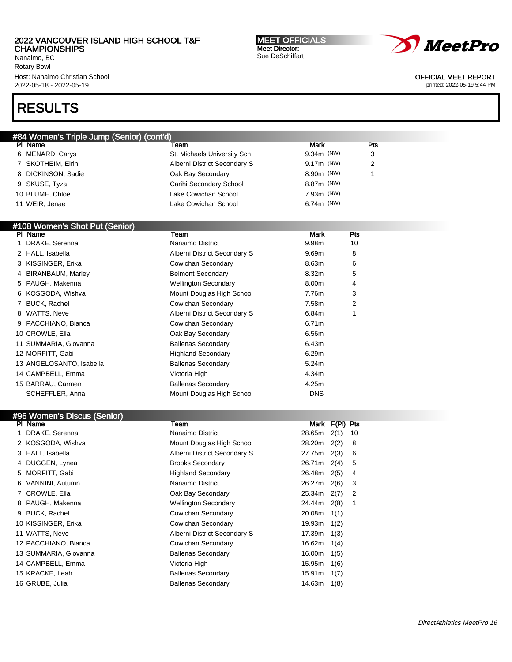Nanaimo, BC Rotary Bowl Host: Nanaimo Christian School 2022-05-18 - 2022-05-19

# RESULTS

| #84 Women's Triple Jump (Senior) (cont'd) |                              |              |     |  |  |  |
|-------------------------------------------|------------------------------|--------------|-----|--|--|--|
| PI Name                                   | Team                         | <b>Mark</b>  | Pts |  |  |  |
| 6 MENARD, Carys                           | St. Michaels University Sch  | $9.34m$ (NW) | 3   |  |  |  |
| 7 SKOTHEIM, Eirin                         | Alberni District Secondary S | $9.17m$ (NW) | 2   |  |  |  |
| 8 DICKINSON, Sadie                        | Oak Bay Secondary            | 8.90m (NW)   |     |  |  |  |
| 9 SKUSE, Tyza                             | Carihi Secondary School      | 8.87m (NW)   |     |  |  |  |
| 10 BLUME, Chloe                           | Lake Cowichan School         | $7.93m$ (NW) |     |  |  |  |
| 11 WEIR, Jenae                            | Lake Cowichan School         | $6.74m$ (NW) |     |  |  |  |

## #108 Women's Shot Put (Senior)

| PI Name                  | Team                         | <b>Mark</b> | Pts |  |
|--------------------------|------------------------------|-------------|-----|--|
| DRAKE, Serenna           | Nanaimo District             | 9.98m       | 10  |  |
| 2 HALL, Isabella         | Alberni District Secondary S | 9.69m       | 8   |  |
| 3 KISSINGER, Erika       | Cowichan Secondary           | 8.63m       | 6   |  |
| 4 BIRANBAUM, Marley      | <b>Belmont Secondary</b>     | 8.32m       | 5   |  |
| 5 PAUGH, Makenna         | <b>Wellington Secondary</b>  | 8.00m       | 4   |  |
| 6 KOSGODA, Wishva        | Mount Douglas High School    | 7.76m       | 3   |  |
| 7 BUCK, Rachel           | Cowichan Secondary           | 7.58m       | 2   |  |
| 8 WATTS, Neve            | Alberni District Secondary S | 6.84m       |     |  |
| 9 PACCHIANO, Bianca      | Cowichan Secondary           | 6.71m       |     |  |
| 10 CROWLE, Ella          | Oak Bay Secondary            | 6.56m       |     |  |
| 11 SUMMARIA, Giovanna    | <b>Ballenas Secondary</b>    | 6.43m       |     |  |
| 12 MORFITT, Gabi         | <b>Highland Secondary</b>    | 6.29m       |     |  |
| 13 ANGELOSANTO, Isabella | <b>Ballenas Secondary</b>    | 5.24m       |     |  |
| 14 CAMPBELL, Emma        | Victoria High                | 4.34m       |     |  |
| 15 BARRAU, Carmen        | <b>Ballenas Secondary</b>    | 4.25m       |     |  |
| SCHEFFLER, Anna          | Mount Douglas High School    | <b>DNS</b>  |     |  |

| #96 Women's Discus (Senior) |                              |                 |                |    |  |  |  |
|-----------------------------|------------------------------|-----------------|----------------|----|--|--|--|
| PI Name                     | Team                         |                 | Mark F(PI) Pts |    |  |  |  |
| 1 DRAKE, Serenna            | Nanaimo District             | 28.65m          | 2(1)           | 10 |  |  |  |
| 2 KOSGODA, Wishva           | Mount Douglas High School    | 28.20m          | 2(2)           | 8  |  |  |  |
| 3 HALL, Isabella            | Alberni District Secondary S | 27.75m          | 2(3)           | 6  |  |  |  |
| 4 DUGGEN, Lynea             | <b>Brooks Secondary</b>      | 26.71m          | 2(4)           | 5  |  |  |  |
| 5 MORFITT, Gabi             | <b>Highland Secondary</b>    | 26.48m          | 2(5)           | 4  |  |  |  |
| 6 VANNINI, Autumn           | Nanaimo District             | 26.27m          | 2(6)           | 3  |  |  |  |
| 7 CROWLE, Ella              | Oak Bay Secondary            | 25.34m          | 2(7)           | 2  |  |  |  |
| 8 PAUGH, Makenna            | <b>Wellington Secondary</b>  | 24.44m          | 2(8)           | 1  |  |  |  |
| 9 BUCK, Rachel              | Cowichan Secondary           | 20.08m          | 1(1)           |    |  |  |  |
| 10 KISSINGER, Erika         | Cowichan Secondary           | 19.93m          | 1(2)           |    |  |  |  |
| 11 WATTS, Neve              | Alberni District Secondary S | $17.39m$ $1(3)$ |                |    |  |  |  |
| 12 PACCHIANO, Bianca        | Cowichan Secondary           | 16.62m $1(4)$   |                |    |  |  |  |
| 13 SUMMARIA, Giovanna       | <b>Ballenas Secondary</b>    | $16.00m$ $1(5)$ |                |    |  |  |  |
| 14 CAMPBELL, Emma           | Victoria High                | 15.95m 1(6)     |                |    |  |  |  |
| 15 KRACKE, Leah             | <b>Ballenas Secondary</b>    | 15.91m          | 1(7)           |    |  |  |  |
| 16 GRUBE, Julia             | <b>Ballenas Secondary</b>    | 14.63m          | 1(8)           |    |  |  |  |

MEET OFFICIALS Meet Director: Sue DeSchiffart



#### OFFICIAL MEET REPORT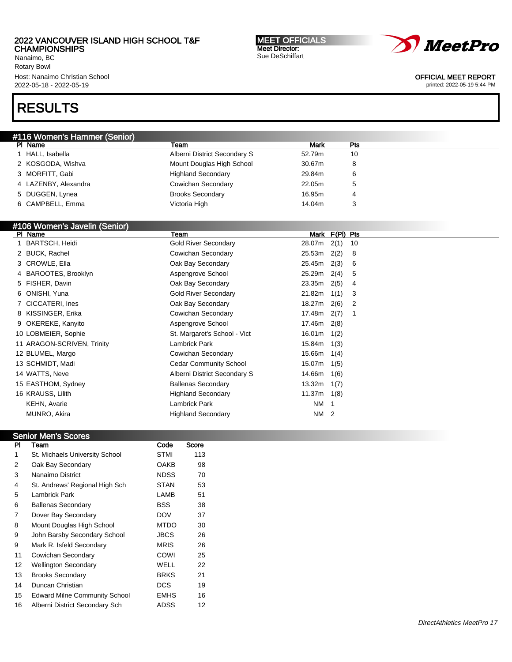Nanaimo, BC Rotary Bowl Host: Nanaimo Christian School 2022-05-18 - 2022-05-19

# RESULTS

| #116 Women's Hammer (Senior) |                              |             |     |  |  |  |  |
|------------------------------|------------------------------|-------------|-----|--|--|--|--|
| PI Name                      | Team                         | <b>Mark</b> | Pts |  |  |  |  |
| HALL, Isabella               | Alberni District Secondary S | 52.79m      | 10  |  |  |  |  |
| 2 KOSGODA, Wishva            | Mount Douglas High School    | 30.67m      | 8   |  |  |  |  |
| 3 MORFITT, Gabi              | <b>Highland Secondary</b>    | 29.84m      | 6   |  |  |  |  |
| 4 LAZENBY, Alexandra         | Cowichan Secondary           | 22.05m      | ა   |  |  |  |  |
| 5 DUGGEN, Lynea              | <b>Brooks Secondary</b>      | 16.95m      | 4   |  |  |  |  |
| 6 CAMPBELL, Emma             | Victoria High                | 14.04m      | J   |  |  |  |  |
|                              |                              |             |     |  |  |  |  |

## #106 Women's Javelin (Senior)

| PI Name                    | Team                         |        | Mark F(PI) Pts |    |
|----------------------------|------------------------------|--------|----------------|----|
| BARTSCH, Heidi             | <b>Gold River Secondary</b>  | 28.07m | 2(1)           | 10 |
| 2 BUCK, Rachel             | Cowichan Secondary           | 25.53m | 2(2)           | 8  |
| 3 CROWLE, Ella             | Oak Bay Secondary            | 25.45m | 2(3)           | 6  |
| 4 BAROOTES, Brooklyn       | Aspengrove School            | 25.29m | 2(4)           | 5  |
| 5 FISHER, Davin            | Oak Bay Secondary            | 23.35m | 2(5)           | 4  |
| 6 ONISHI, Yuna             | <b>Gold River Secondary</b>  | 21.82m | 1(1)           | 3  |
| 7 CICCATERI, Ines          | Oak Bay Secondary            | 18.27m | 2(6)           | 2  |
| 8 KISSINGER, Erika         | Cowichan Secondary           | 17.48m | 2(7)           |    |
| 9 OKEREKE, Kanyito         | Aspengrove School            | 17.46m | 2(8)           |    |
| 10 LOBMEIER, Sophie        | St. Margaret's School - Vict | 16.01m | 1(2)           |    |
| 11 ARAGON-SCRIVEN, Trinity | Lambrick Park                | 15.84m | 1(3)           |    |
| 12 BLUMEL, Margo           | Cowichan Secondary           | 15.66m | 1(4)           |    |
| 13 SCHMIDT, Madi           | Cedar Community School       | 15.07m | 1(5)           |    |
| 14 WATTS, Neve             | Alberni District Secondary S | 14.66m | 1(6)           |    |
| 15 EASTHOM, Sydney         | <b>Ballenas Secondary</b>    | 13.32m | 1(7)           |    |
| 16 KRAUSS, Lilith          | <b>Highland Secondary</b>    | 11.37m | 1(8)           |    |
| KEHN, Avarie               | Lambrick Park                | NM 1   |                |    |
| MUNRO, Akira               | <b>Highland Secondary</b>    | NM 2   |                |    |
|                            |                              |        |                |    |

## Senior Men's Scores

| <b>PI</b>      | Team                                 | Code        | Score |
|----------------|--------------------------------------|-------------|-------|
|                | St. Michaels University School       | <b>STMI</b> | 113   |
| 2              | Oak Bay Secondary                    | OAKB        | 98    |
| 3              | Nanaimo District                     | <b>NDSS</b> | 70    |
| 4              | St. Andrews' Regional High Sch       | <b>STAN</b> | 53    |
| 5              | Lambrick Park                        | LAMB        | 51    |
| 6              | <b>Ballenas Secondary</b>            | <b>BSS</b>  | 38    |
| $\overline{7}$ | Dover Bay Secondary                  | <b>DOV</b>  | 37    |
| 8              | Mount Douglas High School            | <b>MTDO</b> | 30    |
| 9              | John Barsby Secondary School         | <b>JBCS</b> | 26    |
| 9              | Mark R. Isfeld Secondary             | <b>MRIS</b> | 26    |
| 11             | Cowichan Secondary                   | COWI        | 25    |
| 12             | <b>Wellington Secondary</b>          | WELL        | 22    |
| 13             | <b>Brooks Secondary</b>              | <b>BRKS</b> | 21    |
| 14             | Duncan Christian                     | DCS.        | 19    |
| 15             | <b>Edward Milne Community School</b> | <b>EMHS</b> | 16    |
| 16             | Alberni District Secondary Sch       | <b>ADSS</b> | 12    |

MEET OFFICIALS Meet Director: Sue DeSchiffart



DirectAthletics MeetPro 17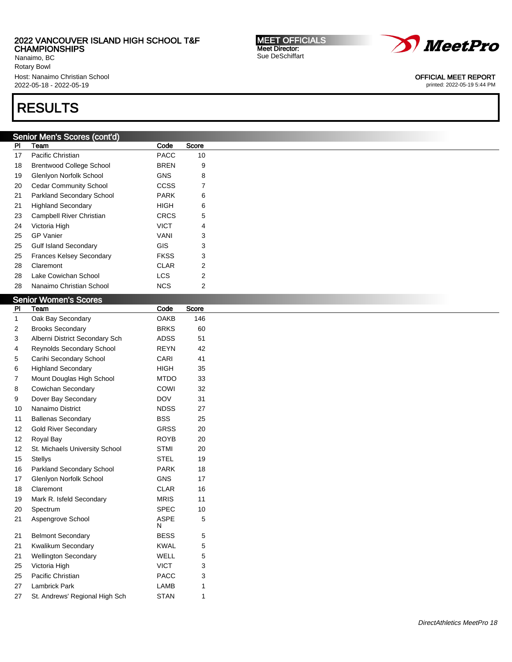Nanaimo, BC Rotary Bowl Host: Nanaimo Christian School 2022-05-18 - 2022-05-19

# RESULTS

## Senior Men's Scores (cont'd)

| PI | Team                            | Code        | Score |
|----|---------------------------------|-------------|-------|
| 17 | Pacific Christian               | <b>PACC</b> | 10    |
| 18 | <b>Brentwood College School</b> | <b>BREN</b> | 9     |
| 19 | Glenlyon Norfolk School         | <b>GNS</b>  | 8     |
| 20 | <b>Cedar Community School</b>   | CCSS        | 7     |
| 21 | Parkland Secondary School       | <b>PARK</b> | 6     |
| 21 | <b>Highland Secondary</b>       | <b>HIGH</b> | 6     |
| 23 | Campbell River Christian        | <b>CRCS</b> | 5     |
| 24 | Victoria High                   | <b>VICT</b> | 4     |
| 25 | <b>GP</b> Vanier                | VANI        | 3     |
| 25 | <b>Gulf Island Secondary</b>    | GIS         | 3     |
| 25 | <b>Frances Kelsey Secondary</b> | <b>FKSS</b> | 3     |
| 28 | Claremont                       | CLAR        | 2     |
| 28 | Lake Cowichan School            | <b>LCS</b>  | 2     |
| 28 | Nanaimo Christian School        | <b>NCS</b>  | 2     |
|    |                                 |             |       |

## Senior Women's Scores

| PI | Team                           | Code             | Score |
|----|--------------------------------|------------------|-------|
| 1  | Oak Bay Secondary              | <b>OAKB</b>      | 146   |
| 2  | <b>Brooks Secondary</b>        | <b>BRKS</b>      | 60    |
| 3  | Alberni District Secondary Sch | <b>ADSS</b>      | 51    |
| 4  | Reynolds Secondary School      | <b>REYN</b>      | 42    |
| 5  | Carihi Secondary School        | CARI             | 41    |
| 6  | <b>Highland Secondary</b>      | <b>HIGH</b>      | 35    |
| 7  | Mount Douglas High School      | <b>MTDO</b>      | 33    |
| 8  | Cowichan Secondary             | COWI             | 32    |
| 9  | Dover Bay Secondary            | <b>DOV</b>       | 31    |
| 10 | Nanaimo District               | <b>NDSS</b>      | 27    |
| 11 | <b>Ballenas Secondary</b>      | <b>BSS</b>       | 25    |
| 12 | <b>Gold River Secondary</b>    | <b>GRSS</b>      | 20    |
| 12 | Royal Bay                      | <b>ROYB</b>      | 20    |
| 12 | St. Michaels University School | <b>STMI</b>      | 20    |
| 15 | <b>Stellys</b>                 | <b>STEL</b>      | 19    |
| 16 | Parkland Secondary School      | <b>PARK</b>      | 18    |
| 17 | Glenlyon Norfolk School        | <b>GNS</b>       | 17    |
| 18 | Claremont                      | <b>CLAR</b>      | 16    |
| 19 | Mark R. Isfeld Secondary       | <b>MRIS</b>      | 11    |
| 20 | Spectrum                       | SPEC             | 10    |
| 21 | Aspengrove School              | <b>ASPE</b><br>N | 5     |
| 21 | <b>Belmont Secondary</b>       | <b>BESS</b>      | 5     |
| 21 | Kwalikum Secondary             | <b>KWAL</b>      | 5     |
| 21 | <b>Wellington Secondary</b>    | WELL             | 5     |
| 25 | Victoria High                  | <b>VICT</b>      | 3     |
| 25 | Pacific Christian              | <b>PACC</b>      | 3     |
| 27 | <b>Lambrick Park</b>           | LAMB             | 1     |
| 27 | St. Andrews' Regional High Sch | <b>STAN</b>      | 1     |
|    |                                |                  |       |

MEET OFFICIALS Meet Director: Sue DeSchiffart



OFFICIAL MEET REPORT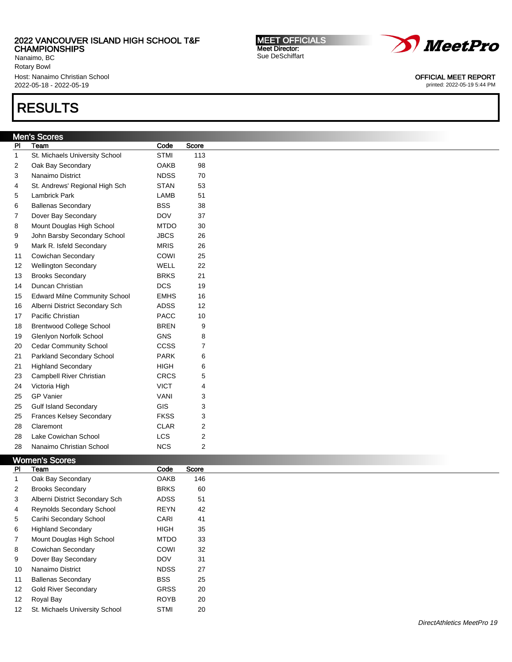Nanaimo, BC Rotary Bowl Host: Nanaimo Christian School 2022-05-18 - 2022-05-19

# RESULTS

# Men's Scores

| PI | Team                                 | Code        | Score          |
|----|--------------------------------------|-------------|----------------|
| 1  | St. Michaels University School       | <b>STMI</b> | 113            |
| 2  | Oak Bay Secondary                    | <b>OAKB</b> | 98             |
| 3  | Nanaimo District                     | <b>NDSS</b> | 70             |
| 4  | St. Andrews' Regional High Sch       | <b>STAN</b> | 53             |
| 5  | Lambrick Park                        | LAMB        | 51             |
| 6  | <b>Ballenas Secondary</b>            | <b>BSS</b>  | 38             |
| 7  | Dover Bay Secondary                  | <b>DOV</b>  | 37             |
| 8  | Mount Douglas High School            | <b>MTDO</b> | 30             |
| 9  | John Barsby Secondary School         | <b>JBCS</b> | 26             |
| 9  | Mark R. Isfeld Secondary             | <b>MRIS</b> | 26             |
| 11 | Cowichan Secondary                   | COWI        | 25             |
| 12 | <b>Wellington Secondary</b>          | <b>WELL</b> | 22             |
| 13 | <b>Brooks Secondary</b>              | <b>BRKS</b> | 21             |
| 14 | Duncan Christian                     | <b>DCS</b>  | 19             |
| 15 | <b>Edward Milne Community School</b> | <b>EMHS</b> | 16             |
| 16 | Alberni District Secondary Sch       | <b>ADSS</b> | 12             |
| 17 | Pacific Christian                    | <b>PACC</b> | 10             |
| 18 | <b>Brentwood College School</b>      | <b>BREN</b> | 9              |
| 19 | Glenlyon Norfolk School              | <b>GNS</b>  | 8              |
| 20 | <b>Cedar Community School</b>        | CCSS        | 7              |
| 21 | Parkland Secondary School            | <b>PARK</b> | 6              |
| 21 | <b>Highland Secondary</b>            | <b>HIGH</b> | 6              |
| 23 | Campbell River Christian             | <b>CRCS</b> | 5              |
| 24 | Victoria High                        | <b>VICT</b> | 4              |
| 25 | <b>GP Vanier</b>                     | <b>VANI</b> | 3              |
| 25 | <b>Gulf Island Secondary</b>         | <b>GIS</b>  | 3              |
| 25 | <b>Frances Kelsey Secondary</b>      | <b>FKSS</b> | 3              |
| 28 | Claremont                            | <b>CLAR</b> | $\overline{c}$ |
| 28 | Lake Cowichan School                 | <b>LCS</b>  | $\overline{c}$ |
| 28 | Nanaimo Christian School             | <b>NCS</b>  | $\overline{2}$ |
|    |                                      |             |                |

## Women's Scores

| PI                | Team                             | Code        | Score |
|-------------------|----------------------------------|-------------|-------|
| 1                 | Oak Bay Secondary                | <b>OAKB</b> | 146   |
| $\overline{2}$    | <b>Brooks Secondary</b>          | <b>BRKS</b> | 60    |
| 3                 | Alberni District Secondary Sch   | <b>ADSS</b> | 51    |
| 4                 | <b>Reynolds Secondary School</b> | <b>REYN</b> | 42    |
| 5                 | Carihi Secondary School          | CARI        | 41    |
| 6                 | <b>Highland Secondary</b>        | <b>HIGH</b> | 35    |
| 7                 | Mount Douglas High School        | <b>MTDO</b> | 33    |
| 8                 | Cowichan Secondary               | COWI        | 32    |
| 9                 | Dover Bay Secondary              | <b>DOV</b>  | 31    |
| 10                | Nanaimo District                 | <b>NDSS</b> | 27    |
| 11                | <b>Ballenas Secondary</b>        | <b>BSS</b>  | 25    |
| $12 \overline{ }$ | <b>Gold River Secondary</b>      | <b>GRSS</b> | 20    |
| 12 <sup>2</sup>   | Royal Bay                        | <b>ROYB</b> | 20    |
| 12 <sup>2</sup>   | St. Michaels University School   | <b>STMI</b> | 20    |

MEET OFFICIALS Meet Director: Sue DeSchiffart



OFFICIAL MEET REPORT printed: 2022-05-19 5:44 PM

DirectAthletics MeetPro 19